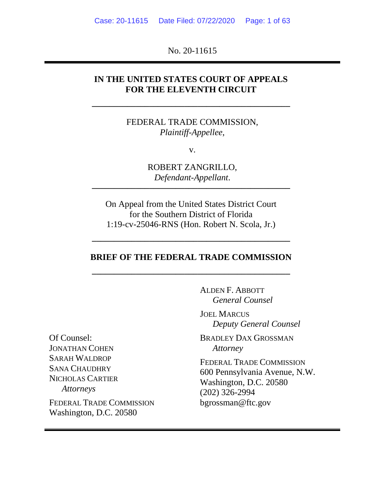No. 20-11615

# **IN THE UNITED STATES COURT OF APPEALS FOR THE ELEVENTH CIRCUIT**

**–––––––––––––––––––––––––––––––––––––––––––––**

FEDERAL TRADE COMMISSION, *Plaintiff-Appellee*,

v.

ROBERT ZANGRILLO, *Defendant-Appellant*.

**–––––––––––––––––––––––––––––––––––––––––––––**

On Appeal from the United States District Court for the Southern District of Florida 1:19-cv-25046-RNS (Hon. Robert N. Scola, Jr.)

### **BRIEF OF THE FEDERAL TRADE COMMISSION**

**–––––––––––––––––––––––––––––––––––––––––––––**

**–––––––––––––––––––––––––––––––––––––––––––––**

ALDEN F. ABBOTT *General Counsel*

JOEL MARCUS *Deputy General Counsel*

BRADLEY DAX GROSSMAN *Attorney*

FEDERAL TRADE COMMISSION 600 Pennsylvania Avenue, N.W. Washington, D.C. 20580 (202) 326-2994 bgrossman@ftc.gov

Of Counsel: JONATHAN COHEN SARAH WALDROP SANA CHAUDHRY NICHOLAS CARTIER *Attorneys*

FEDERAL TRADE COMMISSION Washington, D.C. 20580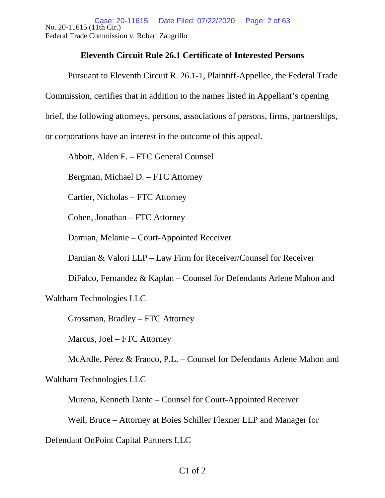No. 20-11615 (11th Cir.) Federal Trade Commission v. Robert Zangrillo Case: 20-11615 Date Filed: 07/22/2020 Page: 2 of 63

### **Eleventh Circuit Rule 26.1 Certificate of Interested Persons**

Pursuant to Eleventh Circuit R. 26.1-1, Plaintiff-Appellee, the Federal Trade

Commission, certifies that in addition to the names listed in Appellant's opening

brief, the following attorneys, persons, associations of persons, firms, partnerships,

or corporations have an interest in the outcome of this appeal.

Abbott, Alden F. – FTC General Counsel

Bergman, Michael D. – FTC Attorney

Cartier, Nicholas – FTC Attorney

Cohen, Jonathan – FTC Attorney

Damian, Melanie – Court-Appointed Receiver

Damian & Valori LLP – Law Firm for Receiver/Counsel for Receiver

DiFalco, Fernandez & Kaplan – Counsel for Defendants Arlene Mahon and

Waltham Technologies LLC

Grossman, Bradley – FTC Attorney

Marcus, Joel – FTC Attorney

McArdle, Pérez & Franco, P.L. – Counsel for Defendants Arlene Mahon and

Waltham Technologies LLC

Murena, Kenneth Dante – Counsel for Court-Appointed Receiver

Weil, Bruce – Attorney at Boies Schiller Flexner LLP and Manager for

Defendant OnPoint Capital Partners LLC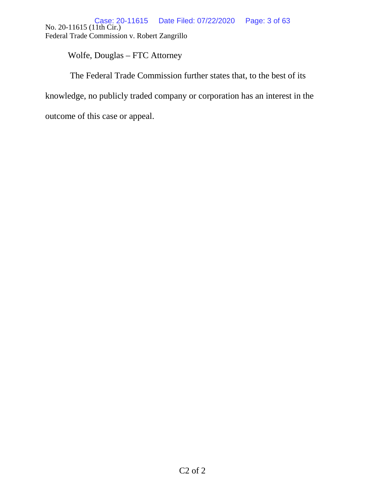No. 20-11615 (11th Cir.) Federal Trade Commission v. Robert Zangrillo Case: 20-11615 Date Filed: 07/22/2020 Page: 3 of 63

Wolfe, Douglas – FTC Attorney

The Federal Trade Commission further states that, to the best of its

knowledge, no publicly traded company or corporation has an interest in the

outcome of this case or appeal.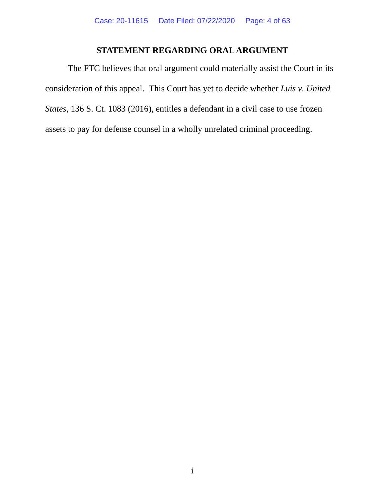# **STATEMENT REGARDING ORAL ARGUMENT**

<span id="page-3-0"></span>The FTC believes that oral argument could materially assist the Court in its consideration of this appeal. This Court has yet to decide whether *Luis v. United States*, 136 S. Ct. 1083 (2016), entitles a defendant in a civil case to use frozen assets to pay for defense counsel in a wholly unrelated criminal proceeding.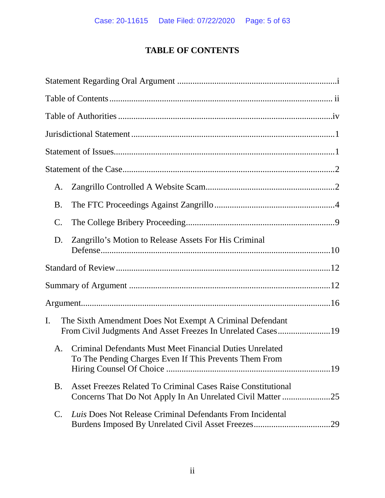# **TABLE OF CONTENTS**

<span id="page-4-0"></span>

| A.              |                                                                                                                    |
|-----------------|--------------------------------------------------------------------------------------------------------------------|
| <b>B.</b>       |                                                                                                                    |
| $\mathcal{C}$ . |                                                                                                                    |
| D.              | Zangrillo's Motion to Release Assets For His Criminal                                                              |
|                 |                                                                                                                    |
|                 |                                                                                                                    |
|                 |                                                                                                                    |
| I.              | The Sixth Amendment Does Not Exempt A Criminal Defendant                                                           |
| Α.              | Criminal Defendants Must Meet Financial Duties Unrelated<br>To The Pending Charges Even If This Prevents Them From |
| <b>B.</b>       | Asset Freezes Related To Criminal Cases Raise Constitutional                                                       |
| C.              | Luis Does Not Release Criminal Defendants From Incidental                                                          |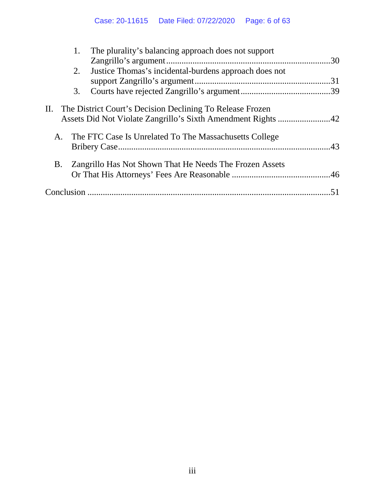|            | The plurality's balancing approach does not support<br>1.                                                                     |  |
|------------|-------------------------------------------------------------------------------------------------------------------------------|--|
|            |                                                                                                                               |  |
|            | Justice Thomas's incidental-burdens approach does not<br>2.                                                                   |  |
|            |                                                                                                                               |  |
|            | 3.                                                                                                                            |  |
|            | II. The District Court's Decision Declining To Release Frozen<br>Assets Did Not Violate Zangrillo's Sixth Amendment Rights 42 |  |
| A.         | The FTC Case Is Unrelated To The Massachusetts College                                                                        |  |
| B.         | Zangrillo Has Not Shown That He Needs The Frozen Assets                                                                       |  |
| Conclusion |                                                                                                                               |  |
|            |                                                                                                                               |  |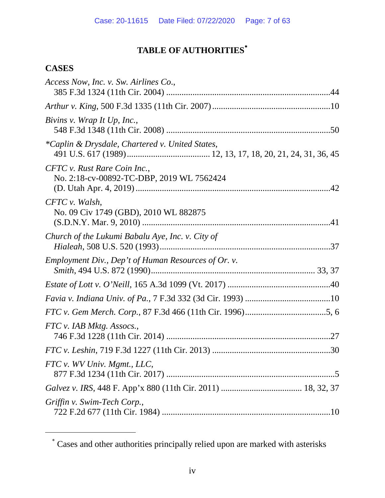# **TABLE OF AUTHORITIES**[∗](#page-6-1)

# <span id="page-6-0"></span>**CASES**

<span id="page-6-1"></span> $\overline{a}$ 

| Access Now, Inc. v. Sw. Airlines Co.,                                     |
|---------------------------------------------------------------------------|
|                                                                           |
| Bivins v. Wrap It Up, Inc.,                                               |
| *Caplin & Drysdale, Chartered v. United States,                           |
| CFTC v. Rust Rare Coin Inc.,<br>No. 2:18-cv-00892-TC-DBP, 2019 WL 7562424 |
| CFTC v. Walsh,<br>No. 09 Civ 1749 (GBD), 2010 WL 882875                   |
| Church of the Lukumi Babalu Aye, Inc. v. City of                          |
| Employment Div., Dep't of Human Resources of Or. v.                       |
|                                                                           |
|                                                                           |
|                                                                           |
| FTC v. IAB Mktg. Assocs.,                                                 |
|                                                                           |
| FTC v. WV Univ. Mgmt., LLC,                                               |
|                                                                           |
| Griffin v. Swim-Tech Corp.,                                               |

<sup>∗</sup> Cases and other authorities principally relied upon are marked with asterisks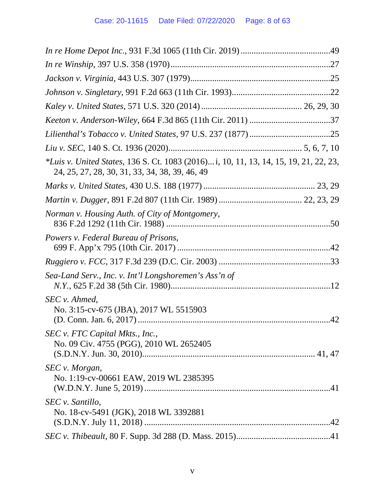| *Luis v. United States, 136 S. Ct. 1083 (2016) i, 10, 11, 13, 14, 15, 19, 21, 22, 23,<br>24, 25, 27, 28, 30, 31, 33, 34, 38, 39, 46, 49 |  |
|-----------------------------------------------------------------------------------------------------------------------------------------|--|
|                                                                                                                                         |  |
|                                                                                                                                         |  |
| Norman v. Housing Auth. of City of Montgomery,                                                                                          |  |
| Powers v. Federal Bureau of Prisons,                                                                                                    |  |
|                                                                                                                                         |  |
| Sea-Land Serv., Inc. v. Int'l Longshoremen's Ass'n of                                                                                   |  |
| SEC v. Ahmed,<br>No. 3:15-cv-675 (JBA), 2017 WL 5515903                                                                                 |  |
| SEC v. FTC Capital Mkts., Inc.,<br>No. 09 Civ. 4755 (PGG), 2010 WL 2652405                                                              |  |
| SEC v. Morgan,<br>No. 1:19-cv-00661 EAW, 2019 WL 2385395                                                                                |  |
| SEC v. Santillo,<br>No. 18-cv-5491 (JGK), 2018 WL 3392881                                                                               |  |
|                                                                                                                                         |  |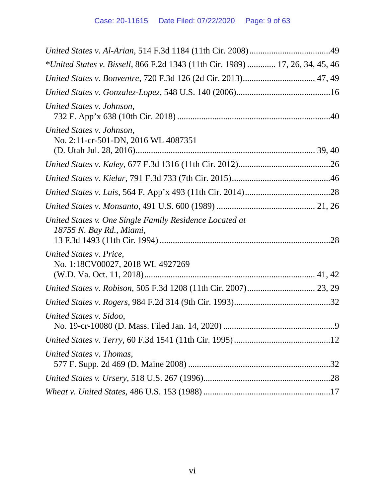| *United States v. Bissell, 866 F.2d 1343 (11th Cir. 1989)  17, 26, 34, 45, 46       |  |
|-------------------------------------------------------------------------------------|--|
| United States v. Bonventre, 720 F.3d 126 (2d Cir. 2013) 47, 49                      |  |
|                                                                                     |  |
| United States v. Johnson,                                                           |  |
| United States v. Johnson,<br>No. 2:11-cr-501-DN, 2016 WL 4087351                    |  |
|                                                                                     |  |
|                                                                                     |  |
|                                                                                     |  |
|                                                                                     |  |
| United States v. One Single Family Residence Located at<br>18755 N. Bay Rd., Miami, |  |
| United States v. Price,<br>No. 1:18CV00027, 2018 WL 4927269                         |  |
|                                                                                     |  |
|                                                                                     |  |
| United States v. Sidoo,                                                             |  |
|                                                                                     |  |
| United States v. Thomas,                                                            |  |
|                                                                                     |  |
|                                                                                     |  |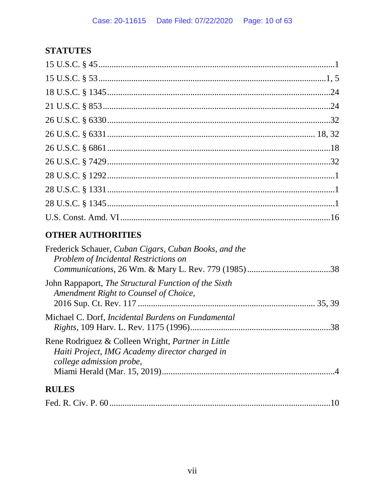# **STATUTES**

# **OTHER AUTHORITIES**

| Frederick Schauer, Cuban Cigars, Cuban Books, and the<br>Problem of Incidental Restrictions on                                          |
|-----------------------------------------------------------------------------------------------------------------------------------------|
| John Rappaport, <i>The Structural Function of the Sixth</i><br>Amendment Right to Counsel of Choice,                                    |
| Michael C. Dorf, <i>Incidental Burdens on Fundamental</i><br>.38                                                                        |
| Rene Rodriguez & Colleen Wright, <i>Partner in Little</i><br>Haiti Project, IMG Academy director charged in<br>college admission probe, |
| <b>RULES</b>                                                                                                                            |
|                                                                                                                                         |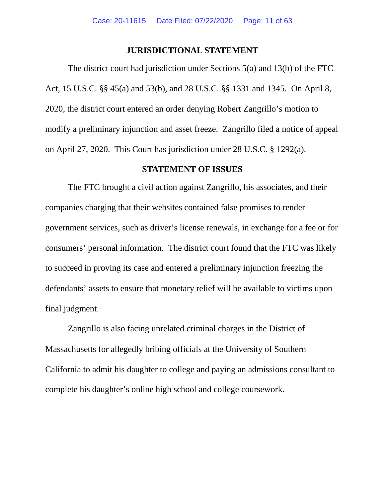### **JURISDICTIONAL STATEMENT**

<span id="page-10-0"></span>The district court had jurisdiction under Sections 5(a) and 13(b) of the FTC Act, 15 U.S.C. §§ 45(a) and 53(b), and 28 U.S.C. §§ 1331 and 1345. On April 8, 2020, the district court entered an order denying Robert Zangrillo's motion to modify a preliminary injunction and asset freeze. Zangrillo filed a notice of appeal on April 27, 2020. This Court has jurisdiction under 28 U.S.C. § 1292(a).

### **STATEMENT OF ISSUES**

<span id="page-10-1"></span>The FTC brought a civil action against Zangrillo, his associates, and their companies charging that their websites contained false promises to render government services, such as driver's license renewals, in exchange for a fee or for consumers' personal information. The district court found that the FTC was likely to succeed in proving its case and entered a preliminary injunction freezing the defendants' assets to ensure that monetary relief will be available to victims upon final judgment.

Zangrillo is also facing unrelated criminal charges in the District of Massachusetts for allegedly bribing officials at the University of Southern California to admit his daughter to college and paying an admissions consultant to complete his daughter's online high school and college coursework.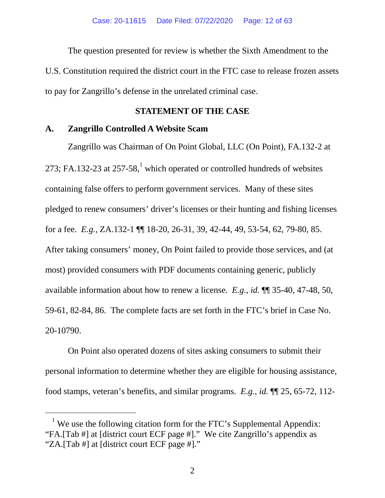The question presented for review is whether the Sixth Amendment to the U.S. Constitution required the district court in the FTC case to release frozen assets to pay for Zangrillo's defense in the unrelated criminal case.

### **STATEMENT OF THE CASE**

### <span id="page-11-1"></span><span id="page-11-0"></span>**A. Zangrillo Controlled A Website Scam**

Zangrillo was Chairman of On Point Global, LLC (On Point), FA.132-2 at 273; FA.[1](#page-11-2)32-23 at  $257-58$ ,<sup>1</sup> which operated or controlled hundreds of websites containing false offers to perform government services. Many of these sites pledged to renew consumers' driver's licenses or their hunting and fishing licenses for a fee. *E.g.*, ZA.132-1 ¶¶ 18-20, 26-31, 39, 42-44, 49, 53-54, 62, 79-80, 85. After taking consumers' money, On Point failed to provide those services, and (at most) provided consumers with PDF documents containing generic, publicly available information about how to renew a license. *E.g.*, *id.* ¶¶ 35-40, 47-48, 50, 59-61, 82-84, 86. The complete facts are set forth in the FTC's brief in Case No. 20-10790.

On Point also operated dozens of sites asking consumers to submit their personal information to determine whether they are eligible for housing assistance, food stamps, veteran's benefits, and similar programs. *E.g.*, *id.* ¶¶ 25, 65-72, 112-

<span id="page-11-2"></span><sup>&</sup>lt;sup>1</sup> We use the following citation form for the FTC's Supplemental Appendix: "FA.[Tab #] at [district court ECF page #]." We cite Zangrillo's appendix as "ZA.[Tab #] at [district court ECF page #]."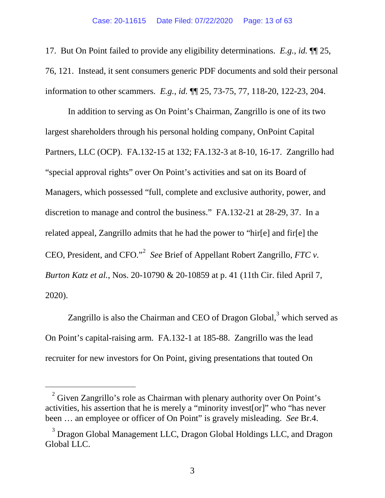17. But On Point failed to provide any eligibility determinations. *E.g.*, *id.* ¶¶ 25, 76, 121. Instead, it sent consumers generic PDF documents and sold their personal information to other scammers. *E.g.*, *id.* ¶¶ 25, 73-75, 77, 118-20, 122-23, 204.

In addition to serving as On Point's Chairman, Zangrillo is one of its two largest shareholders through his personal holding company, OnPoint Capital Partners, LLC (OCP). FA.132-15 at 132; FA.132-3 at 8-10, 16-17. Zangrillo had "special approval rights" over On Point's activities and sat on its Board of Managers, which possessed "full, complete and exclusive authority, power, and discretion to manage and control the business." FA.132-21 at 28-29, 37. In a related appeal, Zangrillo admits that he had the power to "hir[e] and fir[e] the CEO, President, and CFO."<sup>[2](#page-12-0)</sup> See Brief of Appellant Robert Zangrillo, FTC v. *Burton Katz et al.*, Nos. 20-10790 & 20-10859 at p. 41 (11th Cir. filed April 7, 2020).

Zangrillo is also the Chairman and CEO of Dragon Global, $3$  which served as On Point's capital-raising arm. FA.132-1 at 185-88. Zangrillo was the lead recruiter for new investors for On Point, giving presentations that touted On

<span id="page-12-0"></span> $2$  Given Zangrillo's role as Chairman with plenary authority over On Point's activities, his assertion that he is merely a "minority invest[or]" who "has never been … an employee or officer of On Point" is gravely misleading. *See* Br.4.

 $3$  Dragon Global Management LLC, Dragon Global Holdings LLC, and Dragon Global LLC.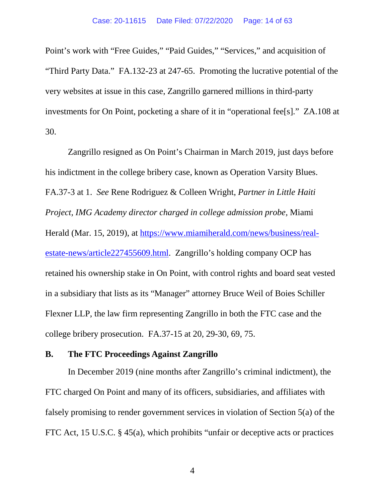Point's work with "Free Guides," "Paid Guides," "Services," and acquisition of "Third Party Data." FA.132-23 at 247-65. Promoting the lucrative potential of the very websites at issue in this case, Zangrillo garnered millions in third-party investments for On Point, pocketing a share of it in "operational fee[s]." ZA.108 at 30.

Zangrillo resigned as On Point's Chairman in March 2019, just days before his indictment in the college bribery case, known as Operation Varsity Blues. FA.37-3 at 1. *See* Rene Rodriguez & Colleen Wright, *Partner in Little Haiti Project, IMG Academy director charged in college admission probe,* Miami Herald (Mar. 15, 2019), at [https://www.miamiherald.com/news/business/real](https://www.miamiherald.com/news/business/real-estate-news/article227455609.html)[estate-news/article227455609.html.](https://www.miamiherald.com/news/business/real-estate-news/article227455609.html) Zangrillo's holding company OCP has retained his ownership stake in On Point, with control rights and board seat vested in a subsidiary that lists as its "Manager" attorney Bruce Weil of Boies Schiller Flexner LLP, the law firm representing Zangrillo in both the FTC case and the college bribery prosecution. FA.37-15 at 20, 29-30, 69, 75.

### <span id="page-13-0"></span>**B. The FTC Proceedings Against Zangrillo**

<span id="page-13-1"></span>In December 2019 (nine months after Zangrillo's criminal indictment), the FTC charged On Point and many of its officers, subsidiaries, and affiliates with falsely promising to render government services in violation of Section 5(a) of the FTC Act, 15 U.S.C. § 45(a), which prohibits "unfair or deceptive acts or practices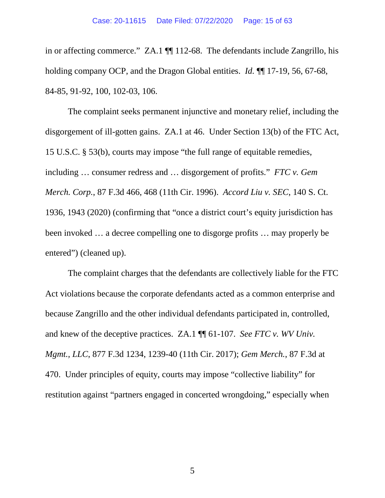in or affecting commerce." ZA.1 ¶¶ 112-68. The defendants include Zangrillo, his holding company OCP, and the Dragon Global entities. *Id.* ¶¶ 17-19, 56, 67-68, 84-85, 91-92, 100, 102-03, 106.

The complaint seeks permanent injunctive and monetary relief, including the disgorgement of ill-gotten gains. ZA.1 at 46. Under Section 13(b) of the FTC Act, 15 U.S.C. § 53(b), courts may impose "the full range of equitable remedies, including … consumer redress and … disgorgement of profits." *FTC v. Gem Merch. Corp.*, 87 F.3d 466, 468 (11th Cir. 1996). *Accord Liu v. SEC*, 140 S. Ct. 1936, 1943 (2020) (confirming that "once a district court's equity jurisdiction has been invoked … a decree compelling one to disgorge profits … may properly be entered") (cleaned up).

The complaint charges that the defendants are collectively liable for the FTC Act violations because the corporate defendants acted as a common enterprise and because Zangrillo and the other individual defendants participated in, controlled, and knew of the deceptive practices. ZA.1 ¶¶ 61-107. *See FTC v. WV Univ. Mgmt., LLC*, 877 F.3d 1234, 1239-40 (11th Cir. 2017); *Gem Merch.*, 87 F.3d at 470. Under principles of equity, courts may impose "collective liability" for restitution against "partners engaged in concerted wrongdoing," especially when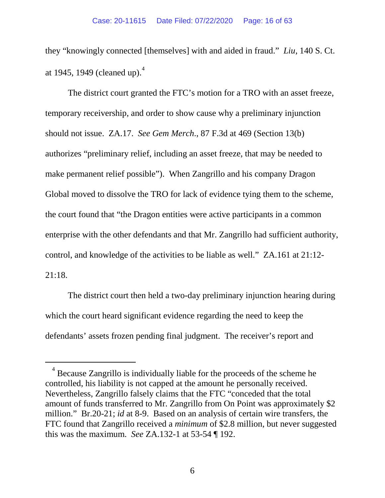they "knowingly connected [themselves] with and aided in fraud." *Liu*, 140 S. Ct. at 19[4](#page-15-0)5, 1949 (cleaned up). $^{4}$ 

The district court granted the FTC's motion for a TRO with an asset freeze, temporary receivership, and order to show cause why a preliminary injunction should not issue. ZA.17. *See Gem Merch*., 87 F.3d at 469 (Section 13(b) authorizes "preliminary relief, including an asset freeze, that may be needed to make permanent relief possible"). When Zangrillo and his company Dragon Global moved to dissolve the TRO for lack of evidence tying them to the scheme, the court found that "the Dragon entities were active participants in a common enterprise with the other defendants and that Mr. Zangrillo had sufficient authority, control, and knowledge of the activities to be liable as well." ZA.161 at 21:12- 21:18.

The district court then held a two-day preliminary injunction hearing during which the court heard significant evidence regarding the need to keep the defendants' assets frozen pending final judgment. The receiver's report and

<span id="page-15-0"></span> $4$  Because Zangrillo is individually liable for the proceeds of the scheme he controlled, his liability is not capped at the amount he personally received. Nevertheless, Zangrillo falsely claims that the FTC "conceded that the total amount of funds transferred to Mr. Zangrillo from On Point was approximately \$2 million." Br.20-21; *id* at 8-9. Based on an analysis of certain wire transfers, the FTC found that Zangrillo received a *minimum* of \$2.8 million, but never suggested this was the maximum. *See* ZA.132-1 at 53-54 ¶ 192.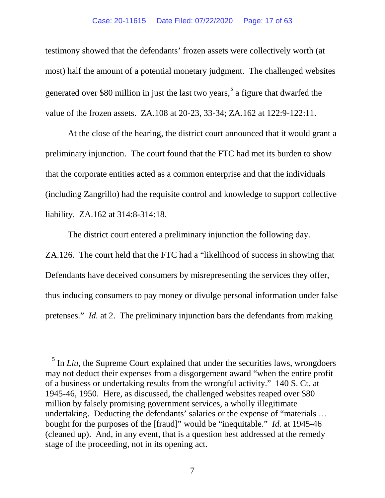#### Case: 20-11615 Date Filed: 07/22/2020 Page: 17 of 63

testimony showed that the defendants' frozen assets were collectively worth (at most) half the amount of a potential monetary judgment. The challenged websites generated over \$80 million in just the last two years,  $5\text{ a figure that dwarfed the}$  $5\text{ a figure that dwarfed the}$ value of the frozen assets. ZA.108 at 20-23, 33-34; ZA.162 at 122:9-122:11.

At the close of the hearing, the district court announced that it would grant a preliminary injunction. The court found that the FTC had met its burden to show that the corporate entities acted as a common enterprise and that the individuals (including Zangrillo) had the requisite control and knowledge to support collective liability. ZA.162 at 314:8-314:18.

The district court entered a preliminary injunction the following day. ZA.126. The court held that the FTC had a "likelihood of success in showing that Defendants have deceived consumers by misrepresenting the services they offer, thus inducing consumers to pay money or divulge personal information under false pretenses." *Id.* at 2. The preliminary injunction bars the defendants from making

<sup>&</sup>lt;sup>5</sup> In *Liu*, the Supreme Court explained that under the securities laws, wrongdoers may not deduct their expenses from a disgorgement award "when the entire profit of a business or undertaking results from the wrongful activity." 140 S. Ct. at 1945-46, 1950. Here, as discussed, the challenged websites reaped over \$80 million by falsely promising government services, a wholly illegitimate undertaking. Deducting the defendants' salaries or the expense of "materials … bought for the purposes of the [fraud]" would be "inequitable." *Id.* at 1945-46 (cleaned up). And, in any event, that is a question best addressed at the remedy stage of the proceeding, not in its opening act.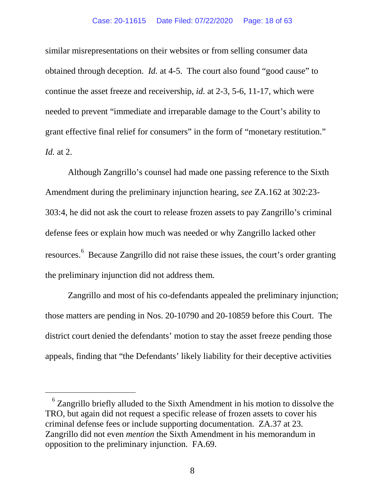<span id="page-17-0"></span>similar misrepresentations on their websites or from selling consumer data obtained through deception. *Id.* at 4-5. The court also found "good cause" to continue the asset freeze and receivership, *id.* at 2-3, 5-6, 11-17, which were needed to prevent "immediate and irreparable damage to the Court's ability to grant effective final relief for consumers" in the form of "monetary restitution." *Id.* at 2.

Although Zangrillo's counsel had made one passing reference to the Sixth Amendment during the preliminary injunction hearing, *see* ZA.162 at 302:23- 303:4, he did not ask the court to release frozen assets to pay Zangrillo's criminal defense fees or explain how much was needed or why Zangrillo lacked other resources.<sup>[6](#page-18-1)</sup> Because Zangrillo did not raise these issues, the court's order granting the preliminary injunction did not address them.

Zangrillo and most of his co-defendants appealed the preliminary injunction; those matters are pending in Nos. 20-10790 and 20-10859 before this Court. The district court denied the defendants' motion to stay the asset freeze pending those appeals, finding that "the Defendants' likely liability for their deceptive activities

<span id="page-17-1"></span> $6$  Zangrillo briefly alluded to the Sixth Amendment in his motion to dissolve the TRO, but again did not request a specific release of frozen assets to cover his criminal defense fees or include supporting documentation. ZA.37 at 23. Zangrillo did not even *mention* the Sixth Amendment in his memorandum in opposition to the preliminary injunction. FA.69.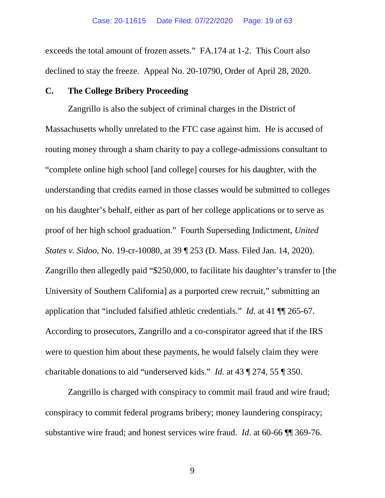<span id="page-18-0"></span>exceeds the total amount of frozen assets." FA.174 at 1-2. This Court also declined to stay the freeze. Appeal No. 20-10790, Order of April 28, 2020.

### **C. The College Bribery Proceeding**

Zangrillo is also the subject of criminal charges in the District of Massachusetts wholly unrelated to the FTC case against him. He is accused of routing money through a sham charity to pay a college-admissions consultant to "complete online high school [and college] courses for his daughter, with the understanding that credits earned in those classes would be submitted to colleges on his daughter's behalf, either as part of her college applications or to serve as proof of her high school graduation." Fourth Superseding Indictment, *United States v. Sidoo*, No. 19-cr-10080, at 39 ¶ 253 (D. Mass. Filed Jan. 14, 2020). Zangrillo then allegedly paid "\$250,000, to facilitate his daughter's transfer to [the University of Southern California] as a purported crew recruit," submitting an application that "included falsified athletic credentials." *Id.* at 41 ¶¶ 265-67. According to prosecutors, Zangrillo and a co-conspirator agreed that if the IRS were to question him about these payments, he would falsely claim they were charitable donations to aid "underserved kids." *Id.* at 43 ¶ 274, 55 ¶ 350.

<span id="page-18-1"></span>Zangrillo is charged with conspiracy to commit mail fraud and wire fraud; conspiracy to commit federal programs bribery; money laundering conspiracy; substantive wire fraud; and honest services wire fraud. *Id*. at 60-66 ¶¶ 369-76.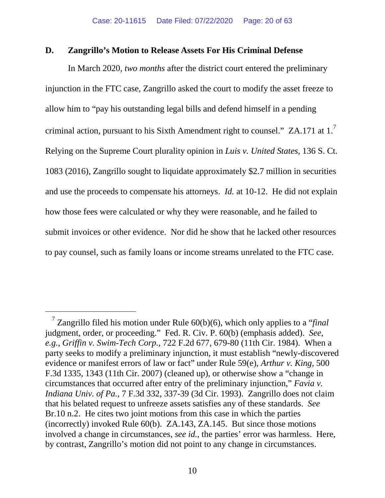### **D. Zangrillo's Motion to Release Assets For His Criminal Defense**

In March 2020, *two months* after the district court entered the preliminary injunction in the FTC case, Zangrillo asked the court to modify the asset freeze to allow him to "pay his outstanding legal bills and defend himself in a pending criminal action, pursuant to his Sixth Amendment right to counsel." ZA.1[7](#page-20-0)1 at 1. $^7$ Relying on the Supreme Court plurality opinion in *Luis v. United States*, 136 S. Ct. 1083 (2016), Zangrillo sought to liquidate approximately \$2.7 million in securities and use the proceeds to compensate his attorneys. *Id.* at 10-12. He did not explain how those fees were calculated or why they were reasonable, and he failed to submit invoices or other evidence. Nor did he show that he lacked other resources to pay counsel, such as family loans or income streams unrelated to the FTC case.

 <sup>7</sup> Zangrillo filed his motion under Rule 60(b)(6), which only applies to a "*final* judgment, order, or proceeding." Fed. R. Civ. P. 60(b) (emphasis added). *See*, *e.g.*, *Griffin v. Swim-Tech Corp.*, 722 F.2d 677, 679-80 (11th Cir. 1984). When a party seeks to modify a preliminary injunction, it must establish "newly-discovered evidence or manifest errors of law or fact" under Rule 59(e), *Arthur v. King*, 500 F.3d 1335, 1343 (11th Cir. 2007) (cleaned up), or otherwise show a "change in circumstances that occurred after entry of the preliminary injunction," *Favia v. Indiana Univ. of Pa.*, 7 F.3d 332, 337-39 (3d Cir. 1993). Zangrillo does not claim that his belated request to unfreeze assets satisfies any of these standards. *See* Br.10 n.2. He cites two joint motions from this case in which the parties (incorrectly) invoked Rule 60(b). ZA.143, ZA.145. But since those motions involved a change in circumstances, *see id.*, the parties' error was harmless. Here, by contrast, Zangrillo's motion did not point to any change in circumstances.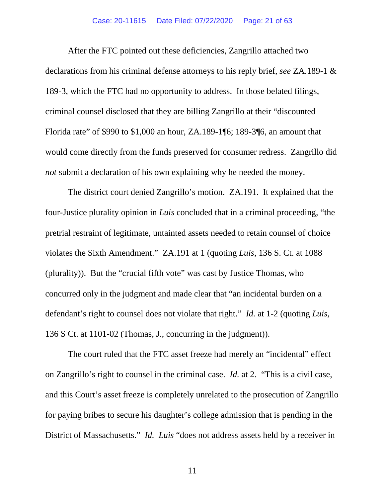#### Case: 20-11615 Date Filed: 07/22/2020 Page: 21 of 63

After the FTC pointed out these deficiencies, Zangrillo attached two declarations from his criminal defense attorneys to his reply brief, *see* ZA.189-1 & 189-3, which the FTC had no opportunity to address. In those belated filings, criminal counsel disclosed that they are billing Zangrillo at their "discounted Florida rate" of \$990 to \$1,000 an hour, ZA.189-1¶6; 189-3¶6, an amount that would come directly from the funds preserved for consumer redress. Zangrillo did *not* submit a declaration of his own explaining why he needed the money.

<span id="page-20-0"></span>The district court denied Zangrillo's motion. ZA.191. It explained that the four-Justice plurality opinion in *Luis* concluded that in a criminal proceeding, "the pretrial restraint of legitimate, untainted assets needed to retain counsel of choice violates the Sixth Amendment." ZA.191 at 1 (quoting *Luis*, 136 S. Ct. at 1088 (plurality)). But the "crucial fifth vote" was cast by Justice Thomas, who concurred only in the judgment and made clear that "an incidental burden on a defendant's right to counsel does not violate that right." *Id.* at 1-2 (quoting *Luis*, 136 S Ct. at 1101-02 (Thomas, J., concurring in the judgment)).

The court ruled that the FTC asset freeze had merely an "incidental" effect on Zangrillo's right to counsel in the criminal case. *Id.* at 2. "This is a civil case, and this Court's asset freeze is completely unrelated to the prosecution of Zangrillo for paying bribes to secure his daughter's college admission that is pending in the District of Massachusetts." *Id. Luis* "does not address assets held by a receiver in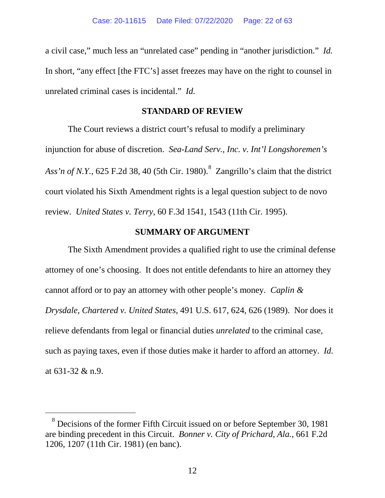a civil case," much less an "unrelated case" pending in "another jurisdiction." *Id.* In short, "any effect [the FTC's] asset freezes may have on the right to counsel in unrelated criminal cases is incidental." *Id.*

### **STANDARD OF REVIEW**

<span id="page-21-0"></span>The Court reviews a district court's refusal to modify a preliminary injunction for abuse of discretion. *Sea-Land Serv., Inc. v. Int'l Longshoremen's Ass'n of N.Y.*, 625 F.2d 38, 40 (5th Cir. 1980). [8](#page-22-0) Zangrillo's claim that the district court violated his Sixth Amendment rights is a legal question subject to de novo review. *United States v. Terry*, 60 F.3d 1541, 1543 (11th Cir. 1995).

### **SUMMARY OF ARGUMENT**

<span id="page-21-1"></span>The Sixth Amendment provides a qualified right to use the criminal defense attorney of one's choosing. It does not entitle defendants to hire an attorney they cannot afford or to pay an attorney with other people's money. *Caplin & Drysdale, Chartered v. United States*, 491 U.S. 617, 624, 626 (1989). Nor does it relieve defendants from legal or financial duties *unrelated* to the criminal case, such as paying taxes, even if those duties make it harder to afford an attorney. *Id.* at 631-32 & n.9.

 <sup>8</sup> Decisions of the former Fifth Circuit issued on or before September 30, 1981 are binding precedent in this Circuit. *Bonner v. City of Prichard, Ala.*, 661 F.2d 1206, 1207 (11th Cir. 1981) (en banc).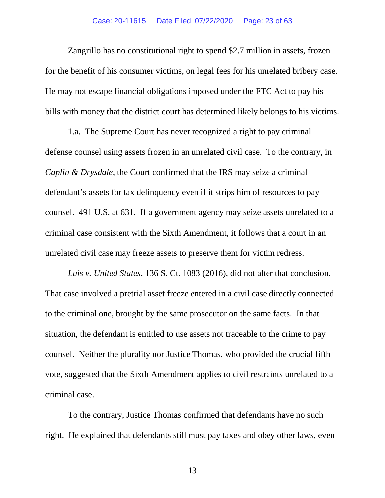Zangrillo has no constitutional right to spend \$2.7 million in assets, frozen for the benefit of his consumer victims, on legal fees for his unrelated bribery case. He may not escape financial obligations imposed under the FTC Act to pay his bills with money that the district court has determined likely belongs to his victims.

1.a. The Supreme Court has never recognized a right to pay criminal defense counsel using assets frozen in an unrelated civil case. To the contrary, in *Caplin & Drysdale*, the Court confirmed that the IRS may seize a criminal defendant's assets for tax delinquency even if it strips him of resources to pay counsel. 491 U.S. at 631. If a government agency may seize assets unrelated to a criminal case consistent with the Sixth Amendment, it follows that a court in an unrelated civil case may freeze assets to preserve them for victim redress.

*Luis v. United States*, 136 S. Ct. 1083 (2016), did not alter that conclusion. That case involved a pretrial asset freeze entered in a civil case directly connected to the criminal one, brought by the same prosecutor on the same facts. In that situation, the defendant is entitled to use assets not traceable to the crime to pay counsel. Neither the plurality nor Justice Thomas, who provided the crucial fifth vote, suggested that the Sixth Amendment applies to civil restraints unrelated to a criminal case.

<span id="page-22-0"></span>To the contrary, Justice Thomas confirmed that defendants have no such right. He explained that defendants still must pay taxes and obey other laws, even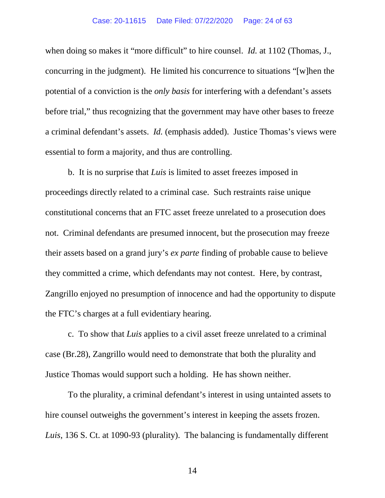#### Case: 20-11615 Date Filed: 07/22/2020 Page: 24 of 63

when doing so makes it "more difficult" to hire counsel. *Id.* at 1102 (Thomas, J., concurring in the judgment). He limited his concurrence to situations "[w]hen the potential of a conviction is the *only basis* for interfering with a defendant's assets before trial," thus recognizing that the government may have other bases to freeze a criminal defendant's assets. *Id.* (emphasis added). Justice Thomas's views were essential to form a majority, and thus are controlling.

b. It is no surprise that *Luis* is limited to asset freezes imposed in proceedings directly related to a criminal case. Such restraints raise unique constitutional concerns that an FTC asset freeze unrelated to a prosecution does not. Criminal defendants are presumed innocent, but the prosecution may freeze their assets based on a grand jury's *ex parte* finding of probable cause to believe they committed a crime, which defendants may not contest. Here, by contrast, Zangrillo enjoyed no presumption of innocence and had the opportunity to dispute the FTC's charges at a full evidentiary hearing.

c. To show that *Luis* applies to a civil asset freeze unrelated to a criminal case (Br.28), Zangrillo would need to demonstrate that both the plurality and Justice Thomas would support such a holding. He has shown neither.

To the plurality, a criminal defendant's interest in using untainted assets to hire counsel outweighs the government's interest in keeping the assets frozen. *Luis*, 136 S. Ct. at 1090-93 (plurality). The balancing is fundamentally different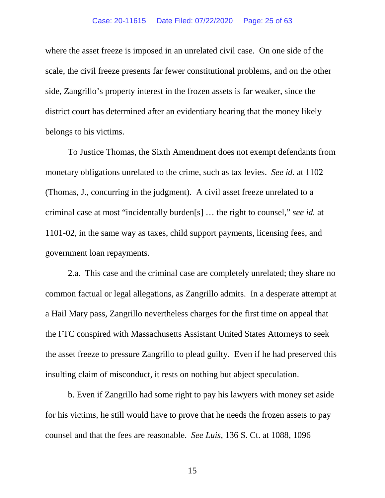#### Case: 20-11615 Date Filed: 07/22/2020 Page: 25 of 63

where the asset freeze is imposed in an unrelated civil case. On one side of the scale, the civil freeze presents far fewer constitutional problems, and on the other side, Zangrillo's property interest in the frozen assets is far weaker, since the district court has determined after an evidentiary hearing that the money likely belongs to his victims.

To Justice Thomas, the Sixth Amendment does not exempt defendants from monetary obligations unrelated to the crime, such as tax levies. *See id.* at 1102 (Thomas, J., concurring in the judgment). A civil asset freeze unrelated to a criminal case at most "incidentally burden[s] … the right to counsel," *see id.* at 1101-02, in the same way as taxes, child support payments, licensing fees, and government loan repayments.

2.a. This case and the criminal case are completely unrelated; they share no common factual or legal allegations, as Zangrillo admits. In a desperate attempt at a Hail Mary pass, Zangrillo nevertheless charges for the first time on appeal that the FTC conspired with Massachusetts Assistant United States Attorneys to seek the asset freeze to pressure Zangrillo to plead guilty. Even if he had preserved this insulting claim of misconduct, it rests on nothing but abject speculation.

b. Even if Zangrillo had some right to pay his lawyers with money set aside for his victims, he still would have to prove that he needs the frozen assets to pay counsel and that the fees are reasonable. *See Luis*, 136 S. Ct. at 1088, 1096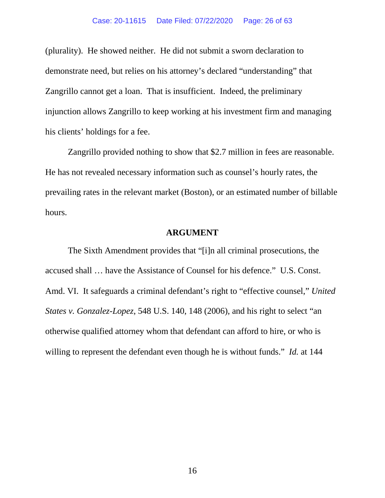(plurality). He showed neither. He did not submit a sworn declaration to demonstrate need, but relies on his attorney's declared "understanding" that Zangrillo cannot get a loan. That is insufficient. Indeed, the preliminary injunction allows Zangrillo to keep working at his investment firm and managing his clients' holdings for a fee.

Zangrillo provided nothing to show that \$2.7 million in fees are reasonable. He has not revealed necessary information such as counsel's hourly rates, the prevailing rates in the relevant market (Boston), or an estimated number of billable hours.

### **ARGUMENT**

<span id="page-25-0"></span>The Sixth Amendment provides that "[i]n all criminal prosecutions, the accused shall … have the Assistance of Counsel for his defence." U.S. Const. Amd. VI. It safeguards a criminal defendant's right to "effective counsel," *United States v. Gonzalez-Lopez*, 548 U.S. 140, 148 (2006), and his right to select "an otherwise qualified attorney whom that defendant can afford to hire, or who is willing to represent the defendant even though he is without funds." *Id.* at 144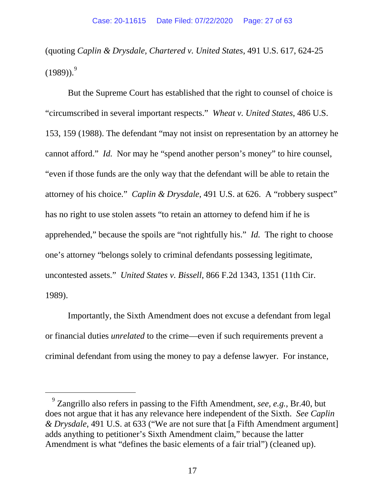(quoting *Caplin & Drysdale, Chartered v. United States*, 491 U.S. 617, 624-25  $(1989)$  $(1989)$  $(1989)$ . $9^{9}$ 

But the Supreme Court has established that the right to counsel of choice is "circumscribed in several important respects." *Wheat v. United States*, 486 U.S. 153, 159 (1988). The defendant "may not insist on representation by an attorney he cannot afford." *Id.* Nor may he "spend another person's money" to hire counsel, "even if those funds are the only way that the defendant will be able to retain the attorney of his choice." *Caplin & Drysdale*, 491 U.S. at 626. A "robbery suspect" has no right to use stolen assets "to retain an attorney to defend him if he is apprehended," because the spoils are "not rightfully his." *Id.* The right to choose one's attorney "belongs solely to criminal defendants possessing legitimate, uncontested assets." *United States v. Bissell*, 866 F.2d 1343, 1351 (11th Cir. 1989).

Importantly, the Sixth Amendment does not excuse a defendant from legal or financial duties *unrelated* to the crime—even if such requirements prevent a criminal defendant from using the money to pay a defense lawyer. For instance,

 <sup>9</sup> Zangrillo also refers in passing to the Fifth Amendment, *see, e.g.*, Br.40, but does not argue that it has any relevance here independent of the Sixth. *See Caplin & Drysdale*, 491 U.S. at 633 ("We are not sure that [a Fifth Amendment argument] adds anything to petitioner's Sixth Amendment claim," because the latter Amendment is what "defines the basic elements of a fair trial") (cleaned up).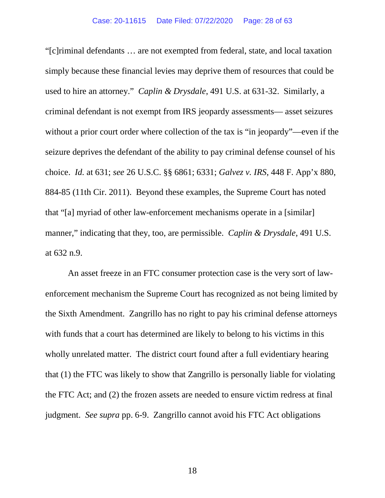"[c]riminal defendants … are not exempted from federal, state, and local taxation simply because these financial levies may deprive them of resources that could be used to hire an attorney." *Caplin & Drysdale*, 491 U.S. at 631-32. Similarly, a criminal defendant is not exempt from IRS jeopardy assessments— asset seizures without a prior court order where collection of the tax is "in jeopardy"—even if the seizure deprives the defendant of the ability to pay criminal defense counsel of his choice. *Id.* at 631; *see* 26 U.S.C. §§ 6861; 6331; *Galvez v. IRS*, 448 F. App'x 880, 884-85 (11th Cir. 2011). Beyond these examples, the Supreme Court has noted that "[a] myriad of other law-enforcement mechanisms operate in a [similar] manner," indicating that they, too, are permissible. *Caplin & Drysdale*, 491 U.S. at 632 n.9.

<span id="page-27-0"></span>An asset freeze in an FTC consumer protection case is the very sort of lawenforcement mechanism the Supreme Court has recognized as not being limited by the Sixth Amendment. Zangrillo has no right to pay his criminal defense attorneys with funds that a court has determined are likely to belong to his victims in this wholly unrelated matter. The district court found after a full evidentiary hearing that (1) the FTC was likely to show that Zangrillo is personally liable for violating the FTC Act; and (2) the frozen assets are needed to ensure victim redress at final judgment. *See supra* pp. 6-9. Zangrillo cannot avoid his FTC Act obligations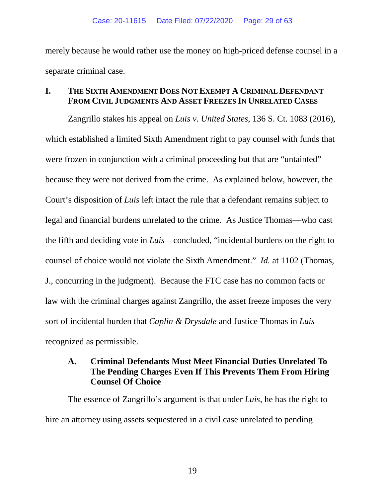merely because he would rather use the money on high-priced defense counsel in a separate criminal case.

## <span id="page-28-0"></span>**I. THE SIXTH AMENDMENT DOES NOT EXEMPT A CRIMINAL DEFENDANT FROM CIVIL JUDGMENTS AND ASSET FREEZES IN UNRELATED CASES**

Zangrillo stakes his appeal on *Luis v. United States*, 136 S. Ct. 1083 (2016), which established a limited Sixth Amendment right to pay counsel with funds that were frozen in conjunction with a criminal proceeding but that are "untainted" because they were not derived from the crime. As explained below, however, the Court's disposition of *Luis* left intact the rule that a defendant remains subject to legal and financial burdens unrelated to the crime. As Justice Thomas—who cast the fifth and deciding vote in *Luis*—concluded, "incidental burdens on the right to counsel of choice would not violate the Sixth Amendment." *Id.* at 1102 (Thomas, J., concurring in the judgment). Because the FTC case has no common facts or law with the criminal charges against Zangrillo, the asset freeze imposes the very sort of incidental burden that *Caplin & Drysdale* and Justice Thomas in *Luis* recognized as permissible.

# <span id="page-28-1"></span>**A. Criminal Defendants Must Meet Financial Duties Unrelated To The Pending Charges Even If This Prevents Them From Hiring Counsel Of Choice**

The essence of Zangrillo's argument is that under *Luis*, he has the right to hire an attorney using assets sequestered in a civil case unrelated to pending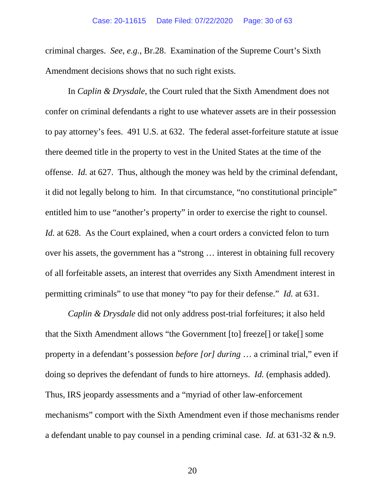criminal charges. *See*, *e.g.*, Br.28. Examination of the Supreme Court's Sixth Amendment decisions shows that no such right exists.

In *Caplin & Drysdale*, the Court ruled that the Sixth Amendment does not confer on criminal defendants a right to use whatever assets are in their possession to pay attorney's fees. 491 U.S. at 632. The federal asset-forfeiture statute at issue there deemed title in the property to vest in the United States at the time of the offense. *Id.* at 627. Thus, although the money was held by the criminal defendant, it did not legally belong to him. In that circumstance, "no constitutional principle" entitled him to use "another's property" in order to exercise the right to counsel. *Id.* at 628. As the Court explained, when a court orders a convicted felon to turn over his assets, the government has a "strong … interest in obtaining full recovery of all forfeitable assets, an interest that overrides any Sixth Amendment interest in permitting criminals" to use that money "to pay for their defense." *Id.* at 631.

*Caplin & Drysdale* did not only address post-trial forfeitures; it also held that the Sixth Amendment allows "the Government [to] freeze[] or take[] some property in a defendant's possession *before [or] during* … a criminal trial," even if doing so deprives the defendant of funds to hire attorneys. *Id.* (emphasis added). Thus, IRS jeopardy assessments and a "myriad of other law-enforcement mechanisms" comport with the Sixth Amendment even if those mechanisms render a defendant unable to pay counsel in a pending criminal case. *Id.* at 631-32 & n.9.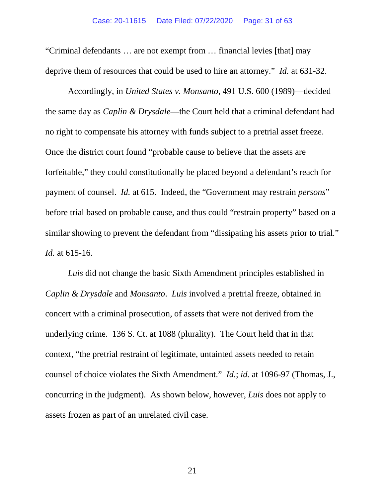#### Case: 20-11615 Date Filed: 07/22/2020 Page: 31 of 63

"Criminal defendants … are not exempt from … financial levies [that] may deprive them of resources that could be used to hire an attorney." *Id.* at 631-32.

Accordingly, in *United States v. Monsanto*, 491 U.S. 600 (1989)—decided the same day as *Caplin & Drysdale*—the Court held that a criminal defendant had no right to compensate his attorney with funds subject to a pretrial asset freeze. Once the district court found "probable cause to believe that the assets are forfeitable," they could constitutionally be placed beyond a defendant's reach for payment of counsel. *Id.* at 615. Indeed, the "Government may restrain *persons*" before trial based on probable cause, and thus could "restrain property" based on a similar showing to prevent the defendant from "dissipating his assets prior to trial." *Id.* at 615-16.

*Luis* did not change the basic Sixth Amendment principles established in *Caplin & Drysdale* and *Monsanto*. *Luis* involved a pretrial freeze, obtained in concert with a criminal prosecution, of assets that were not derived from the underlying crime. 136 S. Ct. at 1088 (plurality). The Court held that in that context, "the pretrial restraint of legitimate, untainted assets needed to retain counsel of choice violates the Sixth Amendment." *Id.*; *id.* at 1096-97 (Thomas, J., concurring in the judgment). As shown below, however, *Luis* does not apply to assets frozen as part of an unrelated civil case.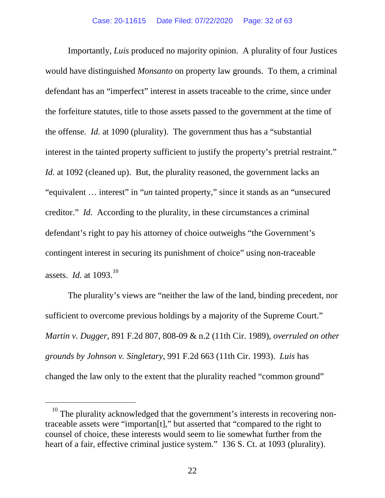Importantly, *Luis* produced no majority opinion. A plurality of four Justices would have distinguished *Monsanto* on property law grounds. To them, a criminal defendant has an "imperfect" interest in assets traceable to the crime, since under the forfeiture statutes, title to those assets passed to the government at the time of the offense. *Id.* at 1090 (plurality). The government thus has a "substantial interest in the tainted property sufficient to justify the property's pretrial restraint." *Id.* at 1092 (cleaned up). But, the plurality reasoned, the government lacks an "equivalent … interest" in "*un* tainted property," since it stands as an "unsecured creditor." *Id.* According to the plurality, in these circumstances a criminal defendant's right to pay his attorney of choice outweighs "the Government's contingent interest in securing its punishment of choice" using non-traceable assets. *Id.* at [10](#page-34-1)93.<sup>10</sup>

The plurality's views are "neither the law of the land, binding precedent, nor sufficient to overcome previous holdings by a majority of the Supreme Court." *Martin v. Dugger*, 891 F.2d 807, 808-09 & n.2 (11th Cir. 1989), *overruled on other grounds by Johnson v. Singletary*, 991 F.2d 663 (11th Cir. 1993). *Luis* has changed the law only to the extent that the plurality reached "common ground"

<sup>&</sup>lt;sup>10</sup> The plurality acknowledged that the government's interests in recovering nontraceable assets were "importan[t]," but asserted that "compared to the right to counsel of choice, these interests would seem to lie somewhat further from the heart of a fair, effective criminal justice system." 136 S. Ct. at 1093 (plurality).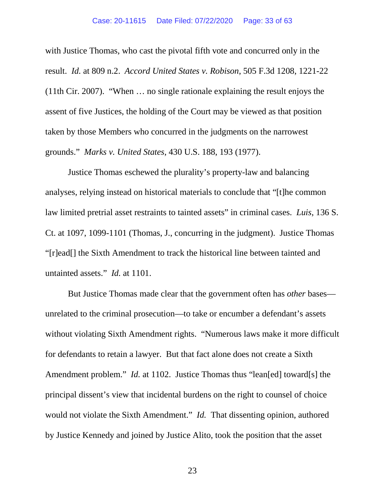with Justice Thomas, who cast the pivotal fifth vote and concurred only in the result. *Id.* at 809 n.2. *Accord United States v. Robison*, 505 F.3d 1208, 1221-22 (11th Cir. 2007). "When … no single rationale explaining the result enjoys the assent of five Justices, the holding of the Court may be viewed as that position taken by those Members who concurred in the judgments on the narrowest grounds." *Marks v. United States*, 430 U.S. 188, 193 (1977).

Justice Thomas eschewed the plurality's property-law and balancing analyses, relying instead on historical materials to conclude that "[t]he common law limited pretrial asset restraints to tainted assets" in criminal cases. *Luis*, 136 S. Ct. at 1097, 1099-1101 (Thomas, J., concurring in the judgment). Justice Thomas "[r]ead[] the Sixth Amendment to track the historical line between tainted and untainted assets." *Id.* at 1101.

But Justice Thomas made clear that the government often has *other* bases unrelated to the criminal prosecution—to take or encumber a defendant's assets without violating Sixth Amendment rights. "Numerous laws make it more difficult for defendants to retain a lawyer. But that fact alone does not create a Sixth Amendment problem." *Id.* at 1102. Justice Thomas thus "lean[ed] toward[s] the principal dissent's view that incidental burdens on the right to counsel of choice would not violate the Sixth Amendment." *Id.* That dissenting opinion, authored by Justice Kennedy and joined by Justice Alito, took the position that the asset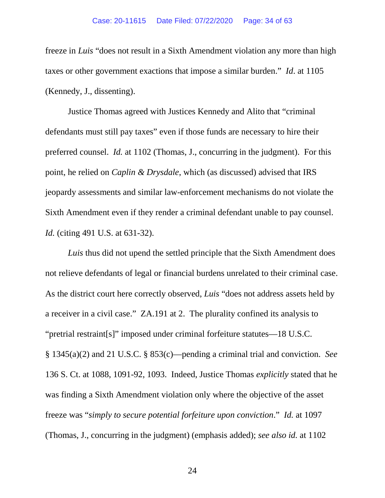freeze in *Luis* "does not result in a Sixth Amendment violation any more than high taxes or other government exactions that impose a similar burden." *Id*. at 1105 (Kennedy, J., dissenting).

Justice Thomas agreed with Justices Kennedy and Alito that "criminal defendants must still pay taxes" even if those funds are necessary to hire their preferred counsel. *Id.* at 1102 (Thomas, J., concurring in the judgment). For this point, he relied on *Caplin & Drysdale*, which (as discussed) advised that IRS jeopardy assessments and similar law-enforcement mechanisms do not violate the Sixth Amendment even if they render a criminal defendant unable to pay counsel. *Id.* (citing 491 U.S. at 631-32).

*Luis* thus did not upend the settled principle that the Sixth Amendment does not relieve defendants of legal or financial burdens unrelated to their criminal case. As the district court here correctly observed, *Luis* "does not address assets held by a receiver in a civil case." ZA.191 at 2. The plurality confined its analysis to "pretrial restraint[s]" imposed under criminal forfeiture statutes—18 U.S.C. § 1345(a)(2) and 21 U.S.C. § 853(c)—pending a criminal trial and conviction. *See* 136 S. Ct. at 1088, 1091-92, 1093. Indeed, Justice Thomas *explicitly* stated that he was finding a Sixth Amendment violation only where the objective of the asset freeze was "*simply to secure potential forfeiture upon conviction*." *Id.* at 1097 (Thomas, J., concurring in the judgment) (emphasis added); *see also id.* at 1102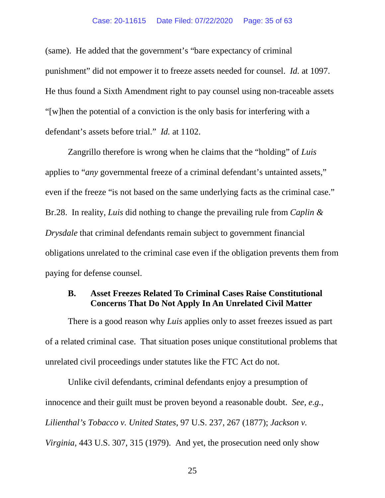(same). He added that the government's "bare expectancy of criminal punishment" did not empower it to freeze assets needed for counsel. *Id.* at 1097. He thus found a Sixth Amendment right to pay counsel using non-traceable assets "[w]hen the potential of a conviction is the only basis for interfering with a defendant's assets before trial." *Id.* at 1102.

Zangrillo therefore is wrong when he claims that the "holding" of *Luis* applies to "*any* governmental freeze of a criminal defendant's untainted assets," even if the freeze "is not based on the same underlying facts as the criminal case." Br.28. In reality, *Luis* did nothing to change the prevailing rule from *Caplin & Drysdale* that criminal defendants remain subject to government financial obligations unrelated to the criminal case even if the obligation prevents them from paying for defense counsel.

# <span id="page-34-0"></span>**B. Asset Freezes Related To Criminal Cases Raise Constitutional Concerns That Do Not Apply In An Unrelated Civil Matter**

There is a good reason why *Luis* applies only to asset freezes issued as part of a related criminal case. That situation poses unique constitutional problems that unrelated civil proceedings under statutes like the FTC Act do not.

<span id="page-34-1"></span>Unlike civil defendants, criminal defendants enjoy a presumption of innocence and their guilt must be proven beyond a reasonable doubt. *See, e.g.*, *Lilienthal's Tobacco v. United States*, 97 U.S. 237, 267 (1877); *Jackson v. Virginia*, 443 U.S. 307, 315 (1979). And yet, the prosecution need only show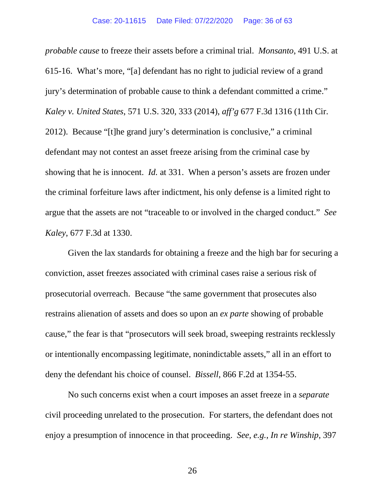*probable cause* to freeze their assets before a criminal trial. *Monsanto*, 491 U.S. at 615-16. What's more, "[a] defendant has no right to judicial review of a grand jury's determination of probable cause to think a defendant committed a crime." *Kaley v. United States*, 571 U.S. 320, 333 (2014), *aff'g* 677 F.3d 1316 (11th Cir. 2012). Because "[t]he grand jury's determination is conclusive," a criminal defendant may not contest an asset freeze arising from the criminal case by showing that he is innocent. *Id.* at 331. When a person's assets are frozen under the criminal forfeiture laws after indictment, his only defense is a limited right to argue that the assets are not "traceable to or involved in the charged conduct." *See Kaley*, 677 F.3d at 1330.

Given the lax standards for obtaining a freeze and the high bar for securing a conviction, asset freezes associated with criminal cases raise a serious risk of prosecutorial overreach. Because "the same government that prosecutes also restrains alienation of assets and does so upon an *ex parte* showing of probable cause," the fear is that "prosecutors will seek broad, sweeping restraints recklessly or intentionally encompassing legitimate, nonindictable assets," all in an effort to deny the defendant his choice of counsel. *Bissell*, 866 F.2d at 1354-55.

No such concerns exist when a court imposes an asset freeze in a *separate* civil proceeding unrelated to the prosecution. For starters, the defendant does not enjoy a presumption of innocence in that proceeding. *See, e.g.*, *In re Winship*, 397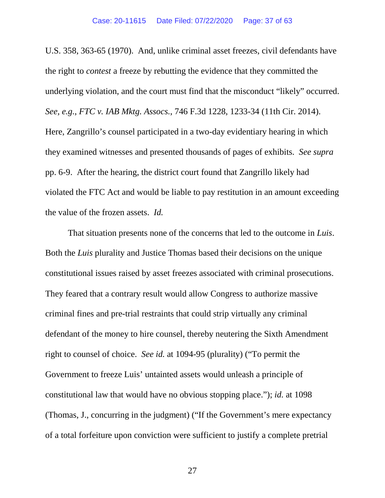U.S. 358, 363-65 (1970). And, unlike criminal asset freezes, civil defendants have the right to *contest* a freeze by rebutting the evidence that they committed the underlying violation, and the court must find that the misconduct "likely" occurred. *See, e.g.*, *FTC v. IAB Mktg. Assocs.*, 746 F.3d 1228, 1233-34 (11th Cir. 2014). Here, Zangrillo's counsel participated in a two-day evidentiary hearing in which they examined witnesses and presented thousands of pages of exhibits. *See supra* pp. 6-9. After the hearing, the district court found that Zangrillo likely had violated the FTC Act and would be liable to pay restitution in an amount exceeding the value of the frozen assets. *Id.*

That situation presents none of the concerns that led to the outcome in *Luis*. Both the *Luis* plurality and Justice Thomas based their decisions on the unique constitutional issues raised by asset freezes associated with criminal prosecutions. They feared that a contrary result would allow Congress to authorize massive criminal fines and pre-trial restraints that could strip virtually any criminal defendant of the money to hire counsel, thereby neutering the Sixth Amendment right to counsel of choice. *See id.* at 1094-95 (plurality) ("To permit the Government to freeze Luis' untainted assets would unleash a principle of constitutional law that would have no obvious stopping place."); *id.* at 1098 (Thomas, J., concurring in the judgment) ("If the Government's mere expectancy of a total forfeiture upon conviction were sufficient to justify a complete pretrial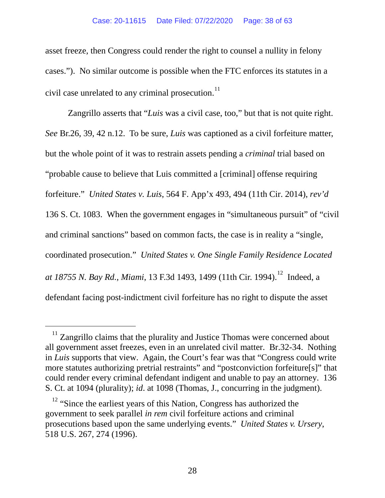<span id="page-37-0"></span>asset freeze, then Congress could render the right to counsel a nullity in felony cases."). No similar outcome is possible when the FTC enforces its statutes in a civil case unrelated to any criminal prosecution.<sup>[11](#page-41-0)</sup>

Zangrillo asserts that "*Luis* was a civil case, too," but that is not quite right. *See* Br.26, 39, 42 n.12. To be sure, *Luis* was captioned as a civil forfeiture matter, but the whole point of it was to restrain assets pending a *criminal* trial based on "probable cause to believe that Luis committed a [criminal] offense requiring forfeiture." *United States v. Luis*, 564 F. App'x 493, 494 (11th Cir. 2014), *rev'd* 136 S. Ct. 1083. When the government engages in "simultaneous pursuit" of "civil and criminal sanctions" based on common facts, the case is in reality a "single, coordinated prosecution." *United States v. One Single Family Residence Located at 18755 N. Bay Rd., Miami,* 13 F.3d 1493, 1499 (11th Cir. 1994).<sup>[12](#page-42-0)</sup> Indeed, a defendant facing post-indictment civil forfeiture has no right to dispute the asset

 $11$ <sup>11</sup> Zangrillo claims that the plurality and Justice Thomas were concerned about all government asset freezes, even in an unrelated civil matter. Br.32-34. Nothing in *Luis* supports that view. Again, the Court's fear was that "Congress could write more statutes authorizing pretrial restraints" and "postconviction forfeiture[s]" that could render every criminal defendant indigent and unable to pay an attorney. 136 S. Ct. at 1094 (plurality); *id*. at 1098 (Thomas, J., concurring in the judgment).

<sup>&</sup>lt;sup>12</sup> "Since the earliest years of this Nation, Congress has authorized the government to seek parallel *in rem* civil forfeiture actions and criminal prosecutions based upon the same underlying events." *United States v. Ursery*, 518 U.S. 267, 274 (1996).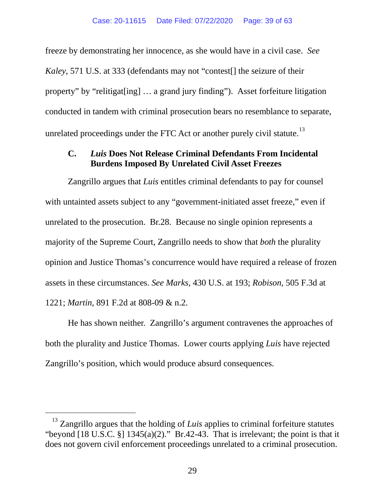<span id="page-38-0"></span>freeze by demonstrating her innocence, as she would have in a civil case. *See Kaley*, 571 U.S. at 333 (defendants may not "contest[] the seizure of their property" by "relitigat[ing] … a grand jury finding"). Asset forfeiture litigation conducted in tandem with criminal prosecution bears no resemblance to separate, unrelated proceedings under the FTC Act or another purely civil statute.<sup>[13](#page-42-1)</sup>

## **C.** *Luis* **Does Not Release Criminal Defendants From Incidental Burdens Imposed By Unrelated Civil Asset Freezes**

Zangrillo argues that *Luis* entitles criminal defendants to pay for counsel with untainted assets subject to any "government-initiated asset freeze," even if unrelated to the prosecution. Br.28. Because no single opinion represents a majority of the Supreme Court, Zangrillo needs to show that *both* the plurality opinion and Justice Thomas's concurrence would have required a release of frozen assets in these circumstances. *See Marks*, 430 U.S. at 193; *Robison*, 505 F.3d at 1221; *Martin*, 891 F.2d at 808-09 & n.2.

He has shown neither. Zangrillo's argument contravenes the approaches of both the plurality and Justice Thomas. Lower courts applying *Luis* have rejected Zangrillo's position, which would produce absurd consequences.

<sup>&</sup>lt;sup>13</sup> Zangrillo argues that the holding of *Luis* applies to criminal forfeiture statutes "beyond  $[18 \text{ U.S.C. }$  §]  $1345(a)(2)$ ." Br.42-43. That is irrelevant; the point is that it does not govern civil enforcement proceedings unrelated to a criminal prosecution.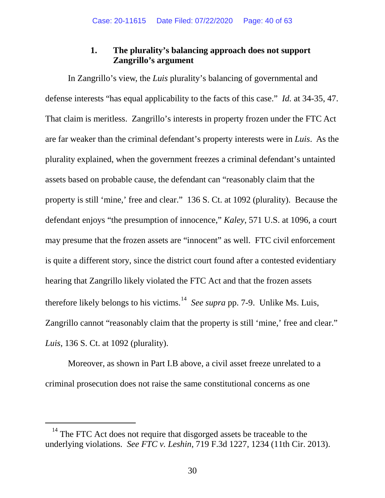# **1. The plurality's balancing approach does not support Zangrillo's argument**

In Zangrillo's view, the *Luis* plurality's balancing of governmental and defense interests "has equal applicability to the facts of this case." *Id.* at 34-35, 47. That claim is meritless. Zangrillo's interests in property frozen under the FTC Act are far weaker than the criminal defendant's property interests were in *Luis*. As the plurality explained, when the government freezes a criminal defendant's untainted assets based on probable cause, the defendant can "reasonably claim that the property is still 'mine,' free and clear." 136 S. Ct. at 1092 (plurality). Because the defendant enjoys "the presumption of innocence," *Kaley*, 571 U.S. at 1096, a court may presume that the frozen assets are "innocent" as well. FTC civil enforcement is quite a different story, since the district court found after a contested evidentiary hearing that Zangrillo likely violated the FTC Act and that the frozen assets therefore likely belongs to his victims.[14](#page-44-0) *See supra* pp. 7-9. Unlike Ms. Luis, Zangrillo cannot "reasonably claim that the property is still 'mine,' free and clear." *Luis*, 136 S. Ct. at 1092 (plurality).

Moreover, as shown in Part I.B above, a civil asset freeze unrelated to a criminal prosecution does not raise the same constitutional concerns as one

 $14$  The FTC Act does not require that disgorged assets be traceable to the underlying violations. *See FTC v. Leshin*, 719 F.3d 1227, 1234 (11th Cir. 2013).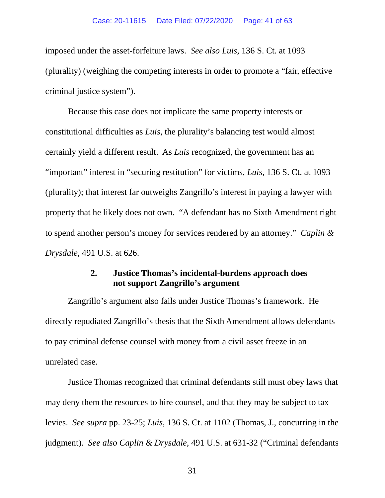imposed under the asset-forfeiture laws. *See also Luis*, 136 S. Ct. at 1093 (plurality) (weighing the competing interests in order to promote a "fair, effective criminal justice system").

Because this case does not implicate the same property interests or constitutional difficulties as *Luis*, the plurality's balancing test would almost certainly yield a different result. As *Luis* recognized, the government has an "important" interest in "securing restitution" for victims, *Luis*, 136 S. Ct. at 1093 (plurality); that interest far outweighs Zangrillo's interest in paying a lawyer with property that he likely does not own. "A defendant has no Sixth Amendment right to spend another person's money for services rendered by an attorney." *Caplin & Drysdale*, 491 U.S. at 626.

### **2. Justice Thomas's incidental-burdens approach does not support Zangrillo's argument**

<span id="page-40-0"></span>Zangrillo's argument also fails under Justice Thomas's framework. He directly repudiated Zangrillo's thesis that the Sixth Amendment allows defendants to pay criminal defense counsel with money from a civil asset freeze in an unrelated case.

Justice Thomas recognized that criminal defendants still must obey laws that may deny them the resources to hire counsel, and that they may be subject to tax levies. *See supra* pp. 23-25; *Luis*, 136 S. Ct. at 1102 (Thomas, J., concurring in the judgment). *See also Caplin & Drysdale*, 491 U.S. at 631-32 ("Criminal defendants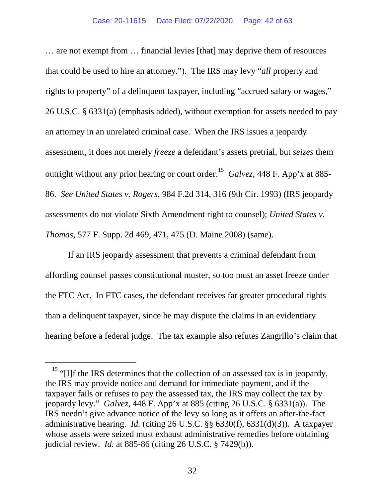… are not exempt from … financial levies [that] may deprive them of resources that could be used to hire an attorney."). The IRS may levy "*all* property and rights to property" of a delinquent taxpayer, including "accrued salary or wages," 26 U.S.C. § 6331(a) (emphasis added), without exemption for assets needed to pay an attorney in an unrelated criminal case. When the IRS issues a jeopardy assessment, it does not merely *freeze* a defendant's assets pretrial, but *seizes* them outright without any prior hearing or court order.<sup>[15](#page-46-0)</sup> *Galvez*, 448 F. App'x at 885-86. *See United States v. Rogers*, 984 F.2d 314, 316 (9th Cir. 1993) (IRS jeopardy assessments do not violate Sixth Amendment right to counsel); *United States v. Thomas*, 577 F. Supp. 2d 469, 471, 475 (D. Maine 2008) (same).

If an IRS jeopardy assessment that prevents a criminal defendant from affording counsel passes constitutional muster, so too must an asset freeze under the FTC Act. In FTC cases, the defendant receives far greater procedural rights than a delinquent taxpayer, since he may dispute the claims in an evidentiary hearing before a federal judge. The tax example also refutes Zangrillo's claim that

<span id="page-41-0"></span><sup>&</sup>lt;sup>15</sup> "[I]f the IRS determines that the collection of an assessed tax is in jeopardy, the IRS may provide notice and demand for immediate payment, and if the taxpayer fails or refuses to pay the assessed tax, the IRS may collect the tax by jeopardy levy." *Galvez*, 448 F. App'x at 885 (citing 26 U.S.C. § 6331(a)). The IRS needn't give advance notice of the levy so long as it offers an after-the-fact administrative hearing. *Id.* (citing 26 U.S.C. §§ 6330(f), 6331(d)(3)). A taxpayer whose assets were seized must exhaust administrative remedies before obtaining judicial review. *Id.* at 885-86 (citing 26 U.S.C. § 7429(b)).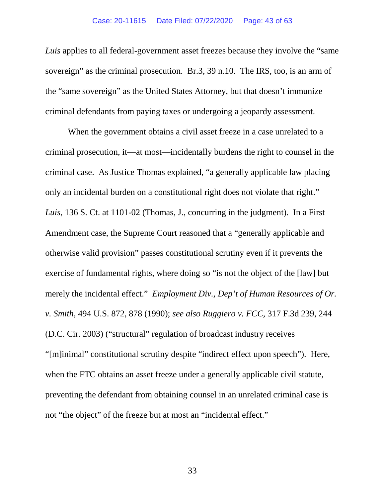*Luis* applies to all federal-government asset freezes because they involve the "same sovereign" as the criminal prosecution. Br.3, 39 n.10. The IRS, too, is an arm of the "same sovereign" as the United States Attorney, but that doesn't immunize criminal defendants from paying taxes or undergoing a jeopardy assessment.

<span id="page-42-1"></span><span id="page-42-0"></span>When the government obtains a civil asset freeze in a case unrelated to a criminal prosecution, it—at most—incidentally burdens the right to counsel in the criminal case. As Justice Thomas explained, "a generally applicable law placing only an incidental burden on a constitutional right does not violate that right." *Luis*, 136 S. Ct. at 1101-02 (Thomas, J., concurring in the judgment). In a First Amendment case, the Supreme Court reasoned that a "generally applicable and otherwise valid provision" passes constitutional scrutiny even if it prevents the exercise of fundamental rights, where doing so "is not the object of the [law] but merely the incidental effect." *Employment Div., Dep't of Human Resources of Or. v. Smith*, 494 U.S. 872, 878 (1990); *see also Ruggiero v. FCC*, 317 F.3d 239, 244 (D.C. Cir. 2003) ("structural" regulation of broadcast industry receives "[m]inimal" constitutional scrutiny despite "indirect effect upon speech"). Here, when the FTC obtains an asset freeze under a generally applicable civil statute, preventing the defendant from obtaining counsel in an unrelated criminal case is not "the object" of the freeze but at most an "incidental effect."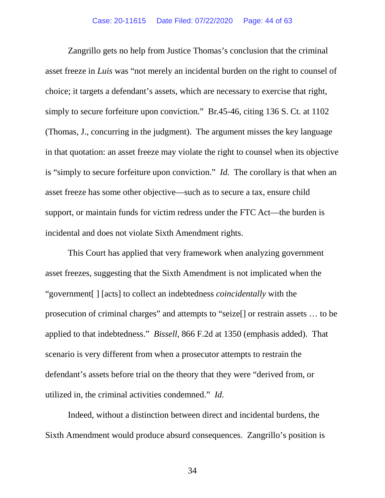Zangrillo gets no help from Justice Thomas's conclusion that the criminal asset freeze in *Luis* was "not merely an incidental burden on the right to counsel of choice; it targets a defendant's assets, which are necessary to exercise that right, simply to secure forfeiture upon conviction." Br.45-46, citing 136 S. Ct. at 1102 (Thomas, J., concurring in the judgment). The argument misses the key language in that quotation: an asset freeze may violate the right to counsel when its objective is "simply to secure forfeiture upon conviction." *Id.* The corollary is that when an asset freeze has some other objective—such as to secure a tax, ensure child support, or maintain funds for victim redress under the FTC Act—the burden is incidental and does not violate Sixth Amendment rights.

This Court has applied that very framework when analyzing government asset freezes, suggesting that the Sixth Amendment is not implicated when the "government[ ] [acts] to collect an indebtedness *coincidentally* with the prosecution of criminal charges" and attempts to "seize[] or restrain assets … to be applied to that indebtedness." *Bissell*, 866 F.2d at 1350 (emphasis added). That scenario is very different from when a prosecutor attempts to restrain the defendant's assets before trial on the theory that they were "derived from, or utilized in, the criminal activities condemned." *Id.*

Indeed, without a distinction between direct and incidental burdens, the Sixth Amendment would produce absurd consequences. Zangrillo's position is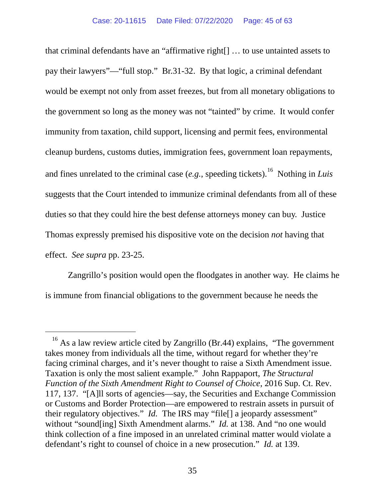that criminal defendants have an "affirmative right[] … to use untainted assets to pay their lawyers"—"full stop." Br.31-32. By that logic, a criminal defendant would be exempt not only from asset freezes, but from all monetary obligations to the government so long as the money was not "tainted" by crime. It would confer immunity from taxation, child support, licensing and permit fees, environmental cleanup burdens, customs duties, immigration fees, government loan repayments, and fines unrelated to the criminal case  $(e.g.,$  speeding tickets).<sup>[16](#page-50-1)</sup> Nothing in *Luis* suggests that the Court intended to immunize criminal defendants from all of these duties so that they could hire the best defense attorneys money can buy. Justice Thomas expressly premised his dispositive vote on the decision *not* having that effect. *See supra* pp. 23-25.

Zangrillo's position would open the floodgates in another way. He claims he is immune from financial obligations to the government because he needs the

<span id="page-44-0"></span> $16$  As a law review article cited by Zangrillo (Br.44) explains, "The government takes money from individuals all the time, without regard for whether they're facing criminal charges, and it's never thought to raise a Sixth Amendment issue. Taxation is only the most salient example." John Rappaport, *The Structural Function of the Sixth Amendment Right to Counsel of Choice*, 2016 Sup. Ct. Rev. 117, 137. "[A]ll sorts of agencies—say, the Securities and Exchange Commission or Customs and Border Protection—are empowered to restrain assets in pursuit of their regulatory objectives." *Id.* The IRS may "file[] a jeopardy assessment" without "sound[ing] Sixth Amendment alarms." *Id.* at 138. And "no one would think collection of a fine imposed in an unrelated criminal matter would violate a defendant's right to counsel of choice in a new prosecution." *Id.* at 139.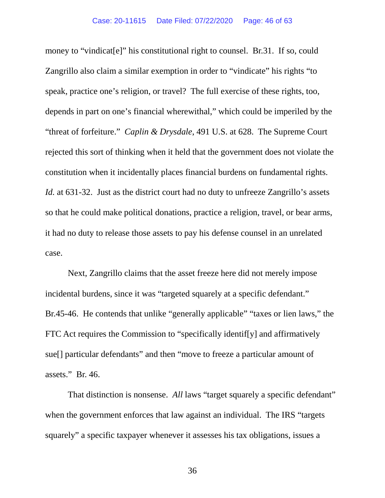money to "vindicate" his constitutional right to counsel. Br.31. If so, could Zangrillo also claim a similar exemption in order to "vindicate" his rights "to speak, practice one's religion, or travel? The full exercise of these rights, too, depends in part on one's financial wherewithal," which could be imperiled by the "threat of forfeiture." *Caplin & Drysdale*, 491 U.S. at 628. The Supreme Court rejected this sort of thinking when it held that the government does not violate the constitution when it incidentally places financial burdens on fundamental rights. *Id.* at 631-32. Just as the district court had no duty to unfreeze Zangrillo's assets so that he could make political donations, practice a religion, travel, or bear arms, it had no duty to release those assets to pay his defense counsel in an unrelated case.

Next, Zangrillo claims that the asset freeze here did not merely impose incidental burdens, since it was "targeted squarely at a specific defendant." Br.45-46. He contends that unlike "generally applicable" "taxes or lien laws," the FTC Act requires the Commission to "specifically identif[y] and affirmatively sue[] particular defendants" and then "move to freeze a particular amount of assets." Br. 46.

That distinction is nonsense. *All* laws "target squarely a specific defendant" when the government enforces that law against an individual. The IRS "targets" squarely" a specific taxpayer whenever it assesses his tax obligations, issues a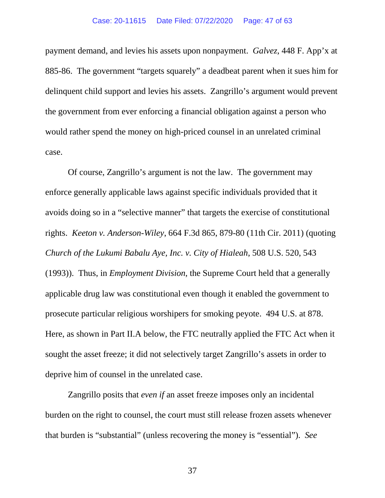payment demand, and levies his assets upon nonpayment. *Galvez*, 448 F. App'x at 885-86. The government "targets squarely" a deadbeat parent when it sues him for delinquent child support and levies his assets. Zangrillo's argument would prevent the government from ever enforcing a financial obligation against a person who would rather spend the money on high-priced counsel in an unrelated criminal case.

Of course, Zangrillo's argument is not the law. The government may enforce generally applicable laws against specific individuals provided that it avoids doing so in a "selective manner" that targets the exercise of constitutional rights. *Keeton v. Anderson-Wiley*, 664 F.3d 865, 879-80 (11th Cir. 2011) (quoting *Church of the Lukumi Babalu Aye, Inc. v. City of Hialeah*, 508 U.S. 520, 543 (1993)). Thus, in *Employment Division*, the Supreme Court held that a generally applicable drug law was constitutional even though it enabled the government to prosecute particular religious worshipers for smoking peyote. 494 U.S. at 878. Here, as shown in Part II.A below, the FTC neutrally applied the FTC Act when it sought the asset freeze; it did not selectively target Zangrillo's assets in order to deprive him of counsel in the unrelated case.

<span id="page-46-0"></span>Zangrillo posits that *even if* an asset freeze imposes only an incidental burden on the right to counsel, the court must still release frozen assets whenever that burden is "substantial" (unless recovering the money is "essential"). *See*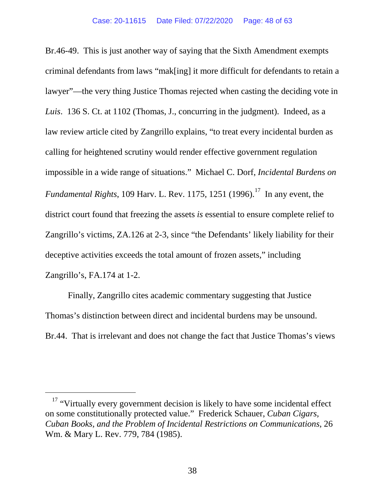<span id="page-47-0"></span>Br.46-49. This is just another way of saying that the Sixth Amendment exempts criminal defendants from laws "mak[ing] it more difficult for defendants to retain a lawyer"—the very thing Justice Thomas rejected when casting the deciding vote in *Luis*. 136 S. Ct. at 1102 (Thomas, J., concurring in the judgment). Indeed, as a law review article cited by Zangrillo explains, "to treat every incidental burden as calling for heightened scrutiny would render effective government regulation impossible in a wide range of situations." Michael C. Dorf, *Incidental Burdens on Fundamental Rights*, 109 Harv. L. Rev. 1175, 1251 (1996). [17](#page-53-0) In any event, the district court found that freezing the assets *is* essential to ensure complete relief to Zangrillo's victims, ZA.126 at 2-3, since "the Defendants' likely liability for their deceptive activities exceeds the total amount of frozen assets," including Zangrillo's, FA.174 at 1-2.

Finally, Zangrillo cites academic commentary suggesting that Justice Thomas's distinction between direct and incidental burdens may be unsound. Br.44. That is irrelevant and does not change the fact that Justice Thomas's views

<sup>&</sup>lt;sup>17</sup> "Virtually every government decision is likely to have some incidental effect on some constitutionally protected value." Frederick Schauer, *Cuban Cigars, Cuban Books, and the Problem of Incidental Restrictions on Communications*, 26 Wm. & Mary L. Rev. 779, 784 (1985).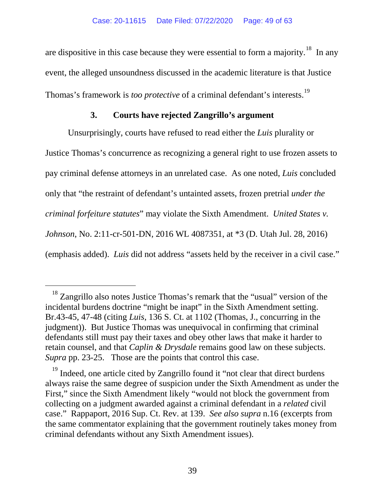are dispositive in this case because they were essential to form a majority.<sup>18</sup> In any event, the alleged unsoundness discussed in the academic literature is that Justice Thomas's framework is *too protective* of a criminal defendant's interests.<sup>19</sup>

## **3. Courts have rejected Zangrillo's argument**

Unsurprisingly, courts have refused to read either the *Luis* plurality or Justice Thomas's concurrence as recognizing a general right to use frozen assets to pay criminal defense attorneys in an unrelated case. As one noted, *Luis* concluded only that "the restraint of defendant's untainted assets, frozen pretrial *under the criminal forfeiture statutes*" may violate the Sixth Amendment. *United States v. Johnson*, No. 2:11-cr-501-DN, 2016 WL 4087351, at \*3 (D. Utah Jul. 28, 2016) (emphasis added). *Luis* did not address "assets held by the receiver in a civil case."

<sup>&</sup>lt;sup>18</sup> Zangrillo also notes Justice Thomas's remark that the "usual" version of the incidental burdens doctrine "might be inapt" in the Sixth Amendment setting. Br.43-45, 47-48 (citing *Luis*, 136 S. Ct. at 1102 (Thomas, J., concurring in the judgment)). But Justice Thomas was unequivocal in confirming that criminal defendants still must pay their taxes and obey other laws that make it harder to retain counsel, and that *Caplin & Drysdale* remains good law on these subjects. *Supra* pp. 23-25. Those are the points that control this case.

<sup>&</sup>lt;sup>19</sup> Indeed, one article cited by Zangrillo found it "not clear that direct burdens always raise the same degree of suspicion under the Sixth Amendment as under the First," since the Sixth Amendment likely "would not block the government from collecting on a judgment awarded against a criminal defendant in a *related* civil case." Rappaport, 2016 Sup. Ct. Rev. at 139. *See also supra* n.16 (excerpts from the same commentator explaining that the government routinely takes money from criminal defendants without any Sixth Amendment issues).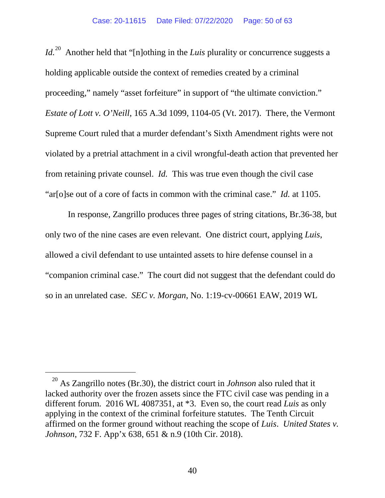Id.<sup>[20](#page-55-1)</sup> Another held that "[n]othing in the *Luis* plurality or concurrence suggests a holding applicable outside the context of remedies created by a criminal proceeding," namely "asset forfeiture" in support of "the ultimate conviction." *Estate of Lott v. O'Neill*, 165 A.3d 1099, 1104-05 (Vt. 2017). There, the Vermont Supreme Court ruled that a murder defendant's Sixth Amendment rights were not violated by a pretrial attachment in a civil wrongful-death action that prevented her from retaining private counsel. *Id.* This was true even though the civil case "ar[o]se out of a core of facts in common with the criminal case." *Id.* at 1105.

In response, Zangrillo produces three pages of string citations, Br.36-38, but only two of the nine cases are even relevant. One district court, applying *Luis*, allowed a civil defendant to use untainted assets to hire defense counsel in a "companion criminal case." The court did not suggest that the defendant could do so in an unrelated case. *SEC v. Morgan*, No. 1:19-cv-00661 EAW, 2019 WL

 <sup>20</sup> As Zangrillo notes (Br.30), the district court in *Johnson* also ruled that it lacked authority over the frozen assets since the FTC civil case was pending in a different forum. 2016 WL 4087351, at \*3. Even so, the court read *Luis* as only applying in the context of the criminal forfeiture statutes. The Tenth Circuit affirmed on the former ground without reaching the scope of *Luis*. *United States v. Johnson*, 732 F. App'x 638, 651 & n.9 (10th Cir. 2018).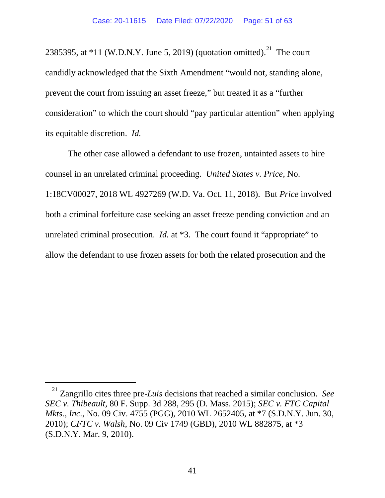<span id="page-50-0"></span>2385395, at  $*11$  (W.D.N.Y. June 5, 2019) (quotation omitted).<sup>21</sup> The court candidly acknowledged that the Sixth Amendment "would not, standing alone, prevent the court from issuing an asset freeze," but treated it as a "further consideration" to which the court should "pay particular attention" when applying its equitable discretion. *Id.*

<span id="page-50-1"></span>The other case allowed a defendant to use frozen, untainted assets to hire counsel in an unrelated criminal proceeding. *United States v. Price*, No. 1:18CV00027, 2018 WL 4927269 (W.D. Va. Oct. 11, 2018). But *Price* involved both a criminal forfeiture case seeking an asset freeze pending conviction and an unrelated criminal prosecution. *Id.* at \*3. The court found it "appropriate" to allow the defendant to use frozen assets for both the related prosecution and the

 <sup>21</sup> Zangrillo cites three pre-*Luis* decisions that reached a similar conclusion. *See SEC v. Thibeault*, 80 F. Supp. 3d 288, 295 (D. Mass. 2015); *SEC v. FTC Capital Mkts., Inc.*, No. 09 Civ. 4755 (PGG), 2010 WL 2652405, at \*7 (S.D.N.Y. Jun. 30, 2010); *CFTC v. Walsh*, No. 09 Civ 1749 (GBD), 2010 WL 882875, at \*3 (S.D.N.Y. Mar. 9, 2010).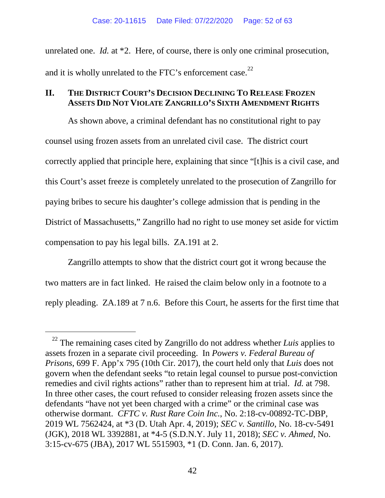unrelated one. *Id.* at \*2. Here, of course, there is only one criminal prosecution, and it is wholly unrelated to the FTC's enforcement case.<sup>[22](#page-58-0)</sup>

## **II. THE DISTRICT COURT'S DECISION DECLINING TO RELEASE FROZEN ASSETS DID NOT VIOLATE ZANGRILLO'S SIXTH AMENDMENT RIGHTS**

As shown above, a criminal defendant has no constitutional right to pay counsel using frozen assets from an unrelated civil case. The district court correctly applied that principle here, explaining that since "[t]his is a civil case, and this Court's asset freeze is completely unrelated to the prosecution of Zangrillo for paying bribes to secure his daughter's college admission that is pending in the District of Massachusetts," Zangrillo had no right to use money set aside for victim compensation to pay his legal bills. ZA.191 at 2.

Zangrillo attempts to show that the district court got it wrong because the two matters are in fact linked. He raised the claim below only in a footnote to a reply pleading. ZA.189 at 7 n.6. Before this Court, he asserts for the first time that

<sup>&</sup>lt;sup>22</sup> The remaining cases cited by Zangrillo do not address whether *Luis* applies to assets frozen in a separate civil proceeding. In *Powers v. Federal Bureau of Prisons*, 699 F. App'x 795 (10th Cir. 2017), the court held only that *Luis* does not govern when the defendant seeks "to retain legal counsel to pursue post-conviction remedies and civil rights actions" rather than to represent him at trial. *Id.* at 798. In three other cases, the court refused to consider releasing frozen assets since the defendants "have not yet been charged with a crime" or the criminal case was otherwise dormant. *CFTC v. Rust Rare Coin Inc.*, No. 2:18-cv-00892-TC-DBP, 2019 WL 7562424, at \*3 (D. Utah Apr. 4, 2019); *SEC v. Santillo*, No. 18-cv-5491 (JGK), 2018 WL 3392881, at \*4-5 (S.D.N.Y. July 11, 2018); *SEC v. Ahmed*, No. 3:15-cv-675 (JBA), 2017 WL 5515903, \*1 (D. Conn. Jan. 6, 2017).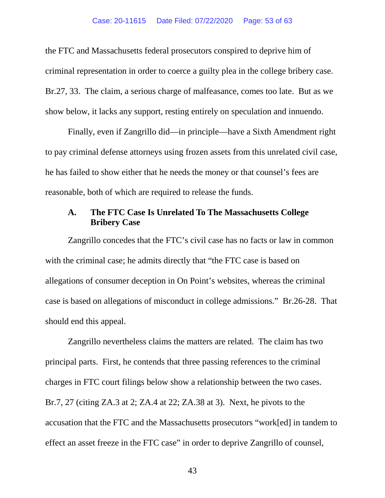the FTC and Massachusetts federal prosecutors conspired to deprive him of criminal representation in order to coerce a guilty plea in the college bribery case. Br.27, 33. The claim, a serious charge of malfeasance, comes too late. But as we show below, it lacks any support, resting entirely on speculation and innuendo.

Finally, even if Zangrillo did—in principle—have a Sixth Amendment right to pay criminal defense attorneys using frozen assets from this unrelated civil case, he has failed to show either that he needs the money or that counsel's fees are reasonable, both of which are required to release the funds.

## <span id="page-52-0"></span>**A. The FTC Case Is Unrelated To The Massachusetts College Bribery Case**

Zangrillo concedes that the FTC's civil case has no facts or law in common with the criminal case; he admits directly that "the FTC case is based on allegations of consumer deception in On Point's websites, whereas the criminal case is based on allegations of misconduct in college admissions." Br.26-28. That should end this appeal.

Zangrillo nevertheless claims the matters are related. The claim has two principal parts. First, he contends that three passing references to the criminal charges in FTC court filings below show a relationship between the two cases. Br.7, 27 (citing ZA.3 at 2; ZA.4 at 22; ZA.38 at 3). Next, he pivots to the accusation that the FTC and the Massachusetts prosecutors "work[ed] in tandem to effect an asset freeze in the FTC case" in order to deprive Zangrillo of counsel,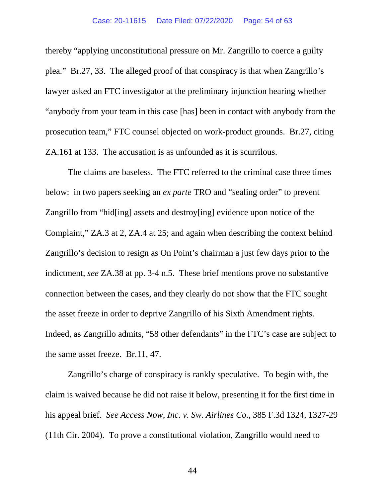#### Case: 20-11615 Date Filed: 07/22/2020 Page: 54 of 63

thereby "applying unconstitutional pressure on Mr. Zangrillo to coerce a guilty plea." Br.27, 33. The alleged proof of that conspiracy is that when Zangrillo's lawyer asked an FTC investigator at the preliminary injunction hearing whether "anybody from your team in this case [has] been in contact with anybody from the prosecution team," FTC counsel objected on work-product grounds. Br.27, citing ZA.161 at 133. The accusation is as unfounded as it is scurrilous.

The claims are baseless. The FTC referred to the criminal case three times below: in two papers seeking an *ex parte* TRO and "sealing order" to prevent Zangrillo from "hid[ing] assets and destroy[ing] evidence upon notice of the Complaint," ZA.3 at 2, ZA.4 at 25; and again when describing the context behind Zangrillo's decision to resign as On Point's chairman a just few days prior to the indictment, *see* ZA.38 at pp. 3-4 n.5. These brief mentions prove no substantive connection between the cases, and they clearly do not show that the FTC sought the asset freeze in order to deprive Zangrillo of his Sixth Amendment rights. Indeed, as Zangrillo admits, "58 other defendants" in the FTC's case are subject to the same asset freeze. Br.11, 47.

<span id="page-53-0"></span>Zangrillo's charge of conspiracy is rankly speculative. To begin with, the claim is waived because he did not raise it below, presenting it for the first time in his appeal brief. *See Access Now, Inc. v. Sw. Airlines Co*., 385 F.3d 1324, 1327-29 (11th Cir. 2004). To prove a constitutional violation, Zangrillo would need to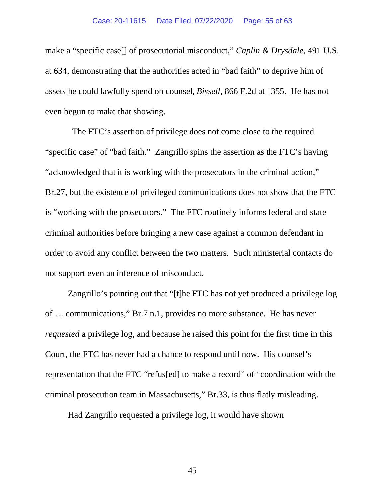make a "specific case[] of prosecutorial misconduct," *Caplin & Drysdale*, 491 U.S. at 634, demonstrating that the authorities acted in "bad faith" to deprive him of assets he could lawfully spend on counsel, *Bissell*, 866 F.2d at 1355. He has not even begun to make that showing.

 The FTC's assertion of privilege does not come close to the required "specific case" of "bad faith." Zangrillo spins the assertion as the FTC's having "acknowledged that it is working with the prosecutors in the criminal action," Br.27, but the existence of privileged communications does not show that the FTC is "working with the prosecutors." The FTC routinely informs federal and state criminal authorities before bringing a new case against a common defendant in order to avoid any conflict between the two matters. Such ministerial contacts do not support even an inference of misconduct.

<span id="page-54-1"></span><span id="page-54-0"></span>Zangrillo's pointing out that "[t]he FTC has not yet produced a privilege log of … communications," Br.7 n.1, provides no more substance. He has never *requested* a privilege log, and because he raised this point for the first time in this Court, the FTC has never had a chance to respond until now. His counsel's representation that the FTC "refus[ed] to make a record" of "coordination with the criminal prosecution team in Massachusetts," Br.33, is thus flatly misleading.

Had Zangrillo requested a privilege log, it would have shown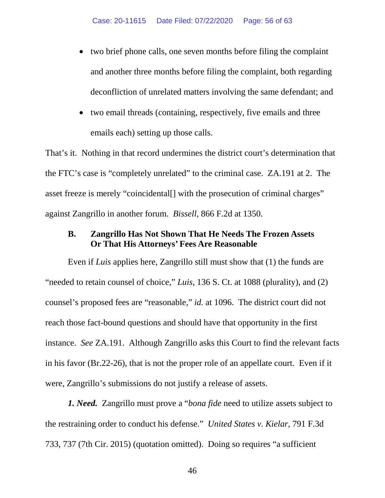- two brief phone calls, one seven months before filing the complaint and another three months before filing the complaint, both regarding deconfliction of unrelated matters involving the same defendant; and
- two email threads (containing, respectively, five emails and three emails each) setting up those calls.

That's it. Nothing in that record undermines the district court's determination that the FTC's case is "completely unrelated" to the criminal case. ZA.191 at 2. The asset freeze is merely "coincidental[] with the prosecution of criminal charges" against Zangrillo in another forum. *Bissell*, 866 F.2d at 1350.

# <span id="page-55-0"></span>**B. Zangrillo Has Not Shown That He Needs The Frozen Assets Or That His Attorneys' Fees Are Reasonable**

Even if *Luis* applies here, Zangrillo still must show that (1) the funds are "needed to retain counsel of choice," *Luis*, 136 S. Ct. at 1088 (plurality), and (2) counsel's proposed fees are "reasonable," *id.* at 1096. The district court did not reach those fact-bound questions and should have that opportunity in the first instance. *See* ZA.191. Although Zangrillo asks this Court to find the relevant facts in his favor (Br.22-26), that is not the proper role of an appellate court. Even if it were, Zangrillo's submissions do not justify a release of assets.

<span id="page-55-1"></span>*1. Need.* Zangrillo must prove a "*bona fide* need to utilize assets subject to the restraining order to conduct his defense." *United States v. Kielar*, 791 F.3d 733, 737 (7th Cir. 2015) (quotation omitted). Doing so requires "a sufficient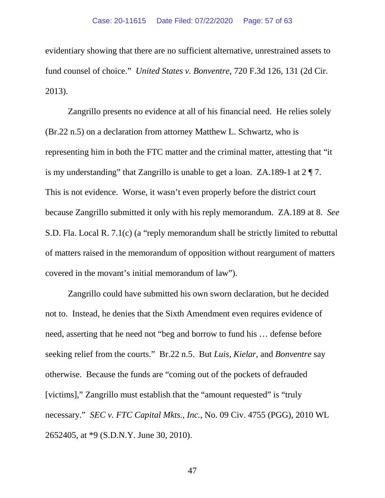evidentiary showing that there are no sufficient alternative, unrestrained assets to fund counsel of choice." *United States v. Bonventre*, 720 F.3d 126, 131 (2d Cir. 2013).

Zangrillo presents no evidence at all of his financial need. He relies solely (Br.22 n.5) on a declaration from attorney Matthew L. Schwartz, who is representing him in both the FTC matter and the criminal matter, attesting that "it is my understanding" that Zangrillo is unable to get a loan. ZA.189-1 at  $2 \sqrt{\ }7$ . This is not evidence. Worse, it wasn't even properly before the district court because Zangrillo submitted it only with his reply memorandum. ZA.189 at 8. *See* S.D. Fla. Local R. 7.1(c) (a "reply memorandum shall be strictly limited to rebuttal of matters raised in the memorandum of opposition without reargument of matters covered in the movant's initial memorandum of law").

<span id="page-56-0"></span>Zangrillo could have submitted his own sworn declaration, but he decided not to. Instead, he denies that the Sixth Amendment even requires evidence of need, asserting that he need not "beg and borrow to fund his … defense before seeking relief from the courts." Br.22 n.5. But *Luis*, *Kielar*, and *Bonventre* say otherwise. Because the funds are "coming out of the pockets of defrauded [victims]," Zangrillo must establish that the "amount requested" is "truly necessary." *SEC v. FTC Capital Mkts., Inc.*, No. 09 Civ. 4755 (PGG), 2010 WL 2652405, at \*9 (S.D.N.Y. June 30, 2010).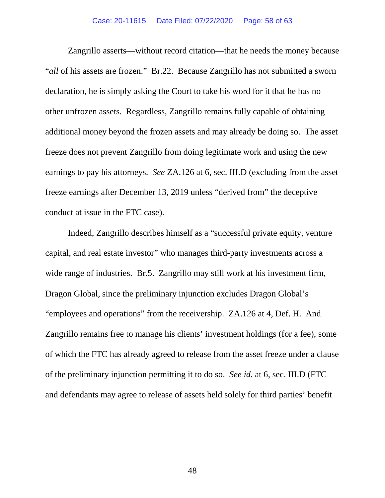Zangrillo asserts—without record citation—that he needs the money because "*all* of his assets are frozen." Br.22. Because Zangrillo has not submitted a sworn declaration, he is simply asking the Court to take his word for it that he has no other unfrozen assets. Regardless, Zangrillo remains fully capable of obtaining additional money beyond the frozen assets and may already be doing so. The asset freeze does not prevent Zangrillo from doing legitimate work and using the new earnings to pay his attorneys. *See* ZA.126 at 6, sec. III.D (excluding from the asset freeze earnings after December 13, 2019 unless "derived from" the deceptive conduct at issue in the FTC case).

Indeed, Zangrillo describes himself as a "successful private equity, venture capital, and real estate investor" who manages third-party investments across a wide range of industries. Br.5. Zangrillo may still work at his investment firm, Dragon Global, since the preliminary injunction excludes Dragon Global's "employees and operations" from the receivership. ZA.126 at 4, Def. H. And Zangrillo remains free to manage his clients' investment holdings (for a fee), some of which the FTC has already agreed to release from the asset freeze under a clause of the preliminary injunction permitting it to do so. *See id.* at 6, sec. III.D (FTC and defendants may agree to release of assets held solely for third parties' benefit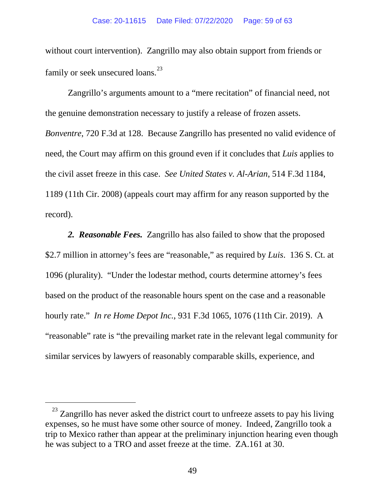without court intervention). Zangrillo may also obtain support from friends or family or seek unsecured loans.<sup>[23](#page-62-0)</sup>

Zangrillo's arguments amount to a "mere recitation" of financial need, not the genuine demonstration necessary to justify a release of frozen assets. *Bonventre*, 720 F.3d at 128. Because Zangrillo has presented no valid evidence of need, the Court may affirm on this ground even if it concludes that *Luis* applies to the civil asset freeze in this case. *See United States v. Al-Arian*, 514 F.3d 1184, 1189 (11th Cir. 2008) (appeals court may affirm for any reason supported by the record).

<span id="page-58-0"></span>*2. Reasonable Fees.* Zangrillo has also failed to show that the proposed \$2.7 million in attorney's fees are "reasonable," as required by *Luis*. 136 S. Ct. at 1096 (plurality). "Under the lodestar method, courts determine attorney's fees based on the product of the reasonable hours spent on the case and a reasonable hourly rate." *In re Home Depot Inc.*, 931 F.3d 1065, 1076 (11th Cir. 2019). A "reasonable" rate is "the prevailing market rate in the relevant legal community for similar services by lawyers of reasonably comparable skills, experience, and

 $23$  Zangrillo has never asked the district court to unfreeze assets to pay his living expenses, so he must have some other source of money. Indeed, Zangrillo took a trip to Mexico rather than appear at the preliminary injunction hearing even though he was subject to a TRO and asset freeze at the time. ZA.161 at 30.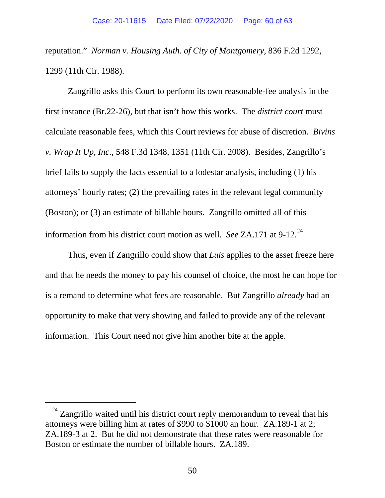<span id="page-59-0"></span>reputation." *Norman v. Housing Auth. of City of Montgomery*, 836 F.2d 1292, 1299 (11th Cir. 1988).

Zangrillo asks this Court to perform its own reasonable-fee analysis in the first instance (Br.22-26), but that isn't how this works. The *district court* must calculate reasonable fees, which this Court reviews for abuse of discretion. *Bivins v. Wrap It Up, Inc.*, 548 F.3d 1348, 1351 (11th Cir. 2008). Besides, Zangrillo's brief fails to supply the facts essential to a lodestar analysis, including (1) his attorneys' hourly rates; (2) the prevailing rates in the relevant legal community (Boston); or (3) an estimate of billable hours. Zangrillo omitted all of this information from his district court motion as well. *See* ZA.171 at 9-12.<sup>24</sup>

Thus, even if Zangrillo could show that *Luis* applies to the asset freeze here and that he needs the money to pay his counsel of choice, the most he can hope for is a remand to determine what fees are reasonable. But Zangrillo *already* had an opportunity to make that very showing and failed to provide any of the relevant information. This Court need not give him another bite at the apple.

 $24$  Zangrillo waited until his district court reply memorandum to reveal that his attorneys were billing him at rates of \$990 to \$1000 an hour. ZA.189-1 at 2; ZA.189-3 at 2. But he did not demonstrate that these rates were reasonable for Boston or estimate the number of billable hours. ZA.189.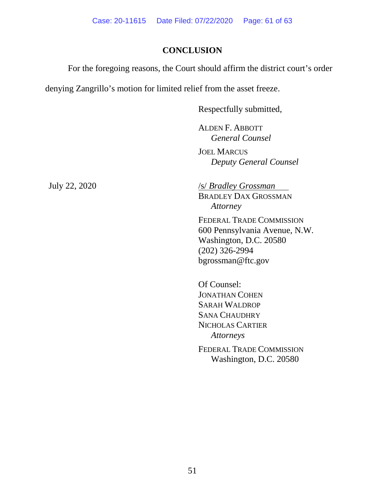# **CONCLUSION**

For the foregoing reasons, the Court should affirm the district court's order

denying Zangrillo's motion for limited relief from the asset freeze.

Respectfully submitted,

ALDEN F. ABBOTT *General Counsel*

JOEL MARCUS *Deputy General Counsel* 

July 22, 2020 /s/ *Bradley Grossman*

BRADLEY DAX GROSSMAN *Attorney*

FEDERAL TRADE COMMISSION 600 Pennsylvania Avenue, N.W. Washington, D.C. 20580 (202) 326-2994 bgrossman@ftc.gov

Of Counsel: JONATHAN COHEN SARAH WALDROP SANA CHAUDHRY NICHOLAS CARTIER *Attorneys*

FEDERAL TRADE COMMISSION Washington, D.C. 20580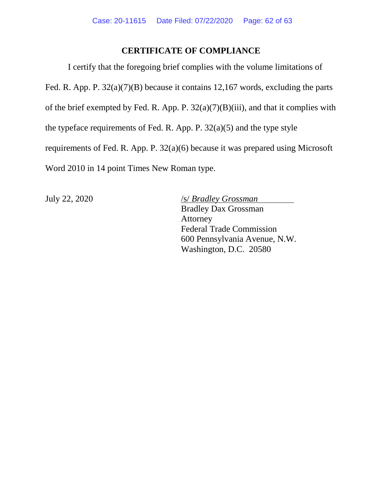# **CERTIFICATE OF COMPLIANCE**

I certify that the foregoing brief complies with the volume limitations of Fed. R. App. P. 32(a)(7)(B) because it contains 12,167 words, excluding the parts of the brief exempted by Fed. R. App. P.  $32(a)(7)(B)(iii)$ , and that it complies with the typeface requirements of Fed. R. App. P. 32(a)(5) and the type style requirements of Fed. R. App. P. 32(a)(6) because it was prepared using Microsoft Word 2010 in 14 point Times New Roman type.

July 22, 2020 /s/ *Bradley Grossman* Bradley Dax Grossman Attorney Federal Trade Commission 600 Pennsylvania Avenue, N.W. Washington, D.C. 20580